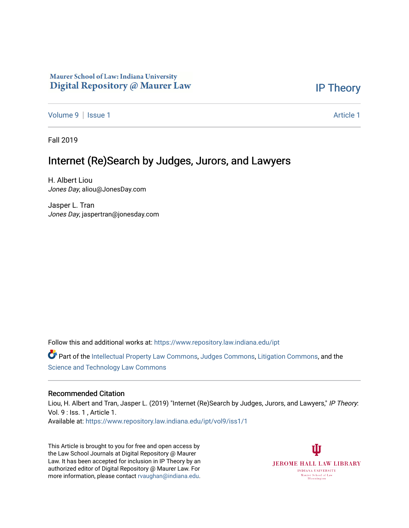# Maurer School of Law: Indiana University Digital Repository @ Maurer Law

[IP Theory](https://www.repository.law.indiana.edu/ipt) 

[Volume 9](https://www.repository.law.indiana.edu/ipt/vol9) | [Issue 1](https://www.repository.law.indiana.edu/ipt/vol9/iss1) Article 1

Fall 2019

# Internet (Re)Search by Judges, Jurors, and Lawyers

H. Albert Liou Jones Day, aliou@JonesDay.com

Jasper L. Tran Jones Day, jaspertran@jonesday.com

Follow this and additional works at: [https://www.repository.law.indiana.edu/ipt](https://www.repository.law.indiana.edu/ipt?utm_source=www.repository.law.indiana.edu%2Fipt%2Fvol9%2Fiss1%2F1&utm_medium=PDF&utm_campaign=PDFCoverPages) 

Part of the [Intellectual Property Law Commons,](http://network.bepress.com/hgg/discipline/896?utm_source=www.repository.law.indiana.edu%2Fipt%2Fvol9%2Fiss1%2F1&utm_medium=PDF&utm_campaign=PDFCoverPages) [Judges Commons,](http://network.bepress.com/hgg/discipline/849?utm_source=www.repository.law.indiana.edu%2Fipt%2Fvol9%2Fiss1%2F1&utm_medium=PDF&utm_campaign=PDFCoverPages) [Litigation Commons](http://network.bepress.com/hgg/discipline/910?utm_source=www.repository.law.indiana.edu%2Fipt%2Fvol9%2Fiss1%2F1&utm_medium=PDF&utm_campaign=PDFCoverPages), and the [Science and Technology Law Commons](http://network.bepress.com/hgg/discipline/875?utm_source=www.repository.law.indiana.edu%2Fipt%2Fvol9%2Fiss1%2F1&utm_medium=PDF&utm_campaign=PDFCoverPages)

### Recommended Citation

Liou, H. Albert and Tran, Jasper L. (2019) "Internet (Re)Search by Judges, Jurors, and Lawyers," IP Theory: Vol. 9 : Iss. 1 , Article 1.

Available at: [https://www.repository.law.indiana.edu/ipt/vol9/iss1/1](https://www.repository.law.indiana.edu/ipt/vol9/iss1/1?utm_source=www.repository.law.indiana.edu%2Fipt%2Fvol9%2Fiss1%2F1&utm_medium=PDF&utm_campaign=PDFCoverPages) 

This Article is brought to you for free and open access by the Law School Journals at Digital Repository @ Maurer Law. It has been accepted for inclusion in IP Theory by an authorized editor of Digital Repository @ Maurer Law. For more information, please contact [rvaughan@indiana.edu](mailto:rvaughan@indiana.edu).

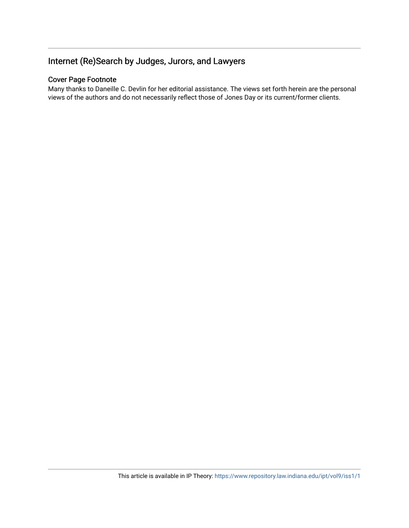# Internet (Re)Search by Judges, Jurors, and Lawyers

# Cover Page Footnote

Many thanks to Daneille C. Devlin for her editorial assistance. The views set forth herein are the personal views of the authors and do not necessarily reflect those of Jones Day or its current/former clients.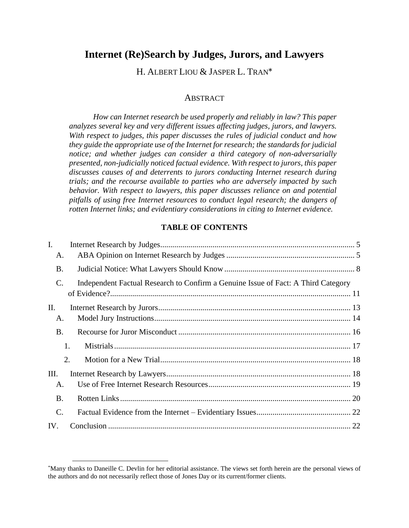# **Internet (Re)Search by Judges, Jurors, and Lawyers**

H. ALBERT LIOU & JASPER L. TRAN\*

### ABSTRACT

*How can Internet research be used properly and reliably in law? This paper analyzes several key and very different issues affecting judges, jurors, and lawyers. With respect to judges, this paper discusses the rules of judicial conduct and how they guide the appropriate use of the Internet for research; the standards for judicial notice; and whether judges can consider a third category of non-adversarially presented, non-judicially noticed factual evidence. With respect to jurors, this paper discusses causes of and deterrents to jurors conducting Internet research during trials; and the recourse available to parties who are adversely impacted by such behavior. With respect to lawyers, this paper discusses reliance on and potential pitfalls of using free Internet resources to conduct legal research; the dangers of rotten Internet links; and evidentiary considerations in citing to Internet evidence.*

### **TABLE OF CONTENTS**

| $\mathbf{I}$ .  |                                                                                   |  |
|-----------------|-----------------------------------------------------------------------------------|--|
| A.              |                                                                                   |  |
| <b>B.</b>       |                                                                                   |  |
| C.              | Independent Factual Research to Confirm a Genuine Issue of Fact: A Third Category |  |
| П.              |                                                                                   |  |
| A.              |                                                                                   |  |
| <b>B.</b>       |                                                                                   |  |
|                 | 1.                                                                                |  |
|                 | 2.                                                                                |  |
| III.            |                                                                                   |  |
| A.              |                                                                                   |  |
| <b>B.</b>       |                                                                                   |  |
| $\mathcal{C}$ . |                                                                                   |  |
| IV.             |                                                                                   |  |

<sup>\*</sup>Many thanks to Daneille C. Devlin for her editorial assistance. The views set forth herein are the personal views of the authors and do not necessarily reflect those of Jones Day or its current/former clients.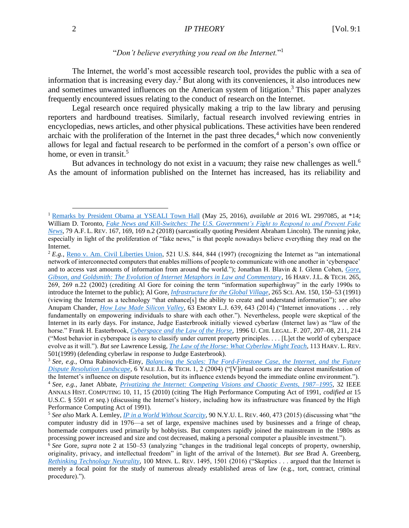### 2 *IP THEORY* [Vol. 9:1

## "*Don't believe everything you read on the Internet.*" 1

The Internet, the world's most accessible research tool, provides the public with a sea of information that is increasing every day.<sup>2</sup> But along with its conveniences, it also introduces new and sometimes unwanted influences on the American system of litigation.<sup>3</sup> This paper analyzes frequently encountered issues relating to the conduct of research on the Internet.

Legal research once required physically making a trip to the law library and perusing reporters and hardbound treatises. Similarly, factual research involved reviewing entries in encyclopedias, news articles, and other physical publications. These activities have been rendered archaic with the proliferation of the Internet in the past three decades, $4$  which now conveniently allows for legal and factual research to be performed in the comfort of a person's own office or home, or even in transit.<sup>5</sup>

But advances in technology do not exist in a vacuum; they raise new challenges as well.<sup>6</sup> As the amount of information published on the Internet has increased, has its reliability and

<sup>&</sup>lt;sup>1</sup> [Remarks by President Obama at YSEALI Town Hall](https://1.next.westlaw.com/Document/IF75C8C9122ED11E6B71FD1AFA37DCC76/View/FullText.html?transitionType=UniqueDocItem&contextData=(sc.UserEnteredCitation)&userEnteredCitation=2016+WL+2997085) (May 25, 2016), *available at* 2016 WL 2997085, at \*14; William D. Toronto, *[Fake News and Kill-Switches: The U.S. Government's Fight to Respond to and Prevent Fake](https://1.next.westlaw.com/Document/I15d2a0c4bdf211e8a5b3e3d9e23d7429/View/FullText.html?transitionType=UniqueDocItem&contextData=(sc.UserEnteredCitation)&userEnteredCitation=79+A.F.+L.+REV.+167)  [News](https://1.next.westlaw.com/Document/I15d2a0c4bdf211e8a5b3e3d9e23d7429/View/FullText.html?transitionType=UniqueDocItem&contextData=(sc.UserEnteredCitation)&userEnteredCitation=79+A.F.+L.+REV.+167)*, 79 A.F. L. REV. 167, 169, 169 n.2 (2018) (sarcastically quoting President Abraham Lincoln). The running joke, especially in light of the proliferation of "fake news," is that people nowadays believe everything they read on the Internet.

<sup>2</sup> *E.g.*, [Reno v. Am. Civil Liberties Union,](https://1.next.westlaw.com/Document/Ib5b2d2d19a1011d9bdd1cfdd544ca3a4/View/FullText.html?transitionType=UniqueDocItem&contextData=(sc.UserEnteredCitation)&userEnteredCitation=521+U.S.+844) 521 U.S. 844, 844 (1997) (recognizing the Internet as "an international network of interconnected computers that enables millions of people to communicate with one another in 'cyberspace' and to access vast amounts of information from around the world."); Jonathan H. Blavin & I. Glenn Cohen, *[Gore,](https://1.next.westlaw.com/Document/Id500b00149b211dba16d88fb847e95e5/View/FullText.html?transitionType=UniqueDocItem&contextData=(sc.UserEnteredCitation)&userEnteredCitation=16+HARV.+J.L.+%26+TECH.+265)  [Gibson, and Goldsmith: The Evolution of Internet Metaphors in Law and Commentary](https://1.next.westlaw.com/Document/Id500b00149b211dba16d88fb847e95e5/View/FullText.html?transitionType=UniqueDocItem&contextData=(sc.UserEnteredCitation)&userEnteredCitation=16+HARV.+J.L.+%26+TECH.+265)*, 16 HARV. J.L. & TECH. 265, 269, 269 n.22 (2002) (crediting Al Gore for coining the term "information superhighway" in the early 1990s to introduce the Internet to the public); Al Gore, *[Infrastructure for the Global Village](https://www.jstor.org/stable/pdf/24938724.pdf?seq=1#page_scan_tab_contents)*, 265 SCI. AM. 150, 150–53 (1991) (viewing the Internet as a technology "that enhance[s] the ability to create and understand information"); *see also* Anupam Chander, *[How Law Made Silicon Valley](https://1.next.westlaw.com/Document/Iebdf62a2a96611e398db8b09b4f043e0/View/FullText.html?transitionType=UniqueDocItem&contextData=(sc.Search)&userEnteredCitation=63+EMORY+L.J.+639)*, 63 EMORY L.J. 639, 643 (2014) ("Internet innovations . . . rely fundamentally on empowering individuals to share with each other."). Nevertheless, people were skeptical of the Internet in its early days. For instance, Judge Easterbrook initially viewed cyberlaw (Internet law) as "law of the horse." Frank H. Easterbrook, *[Cyberspace and the Law of the Horse](https://1.next.westlaw.com/Document/I59dcbdf14b2a11db99a18fc28eb0d9ae/View/FullText.html?transitionType=UniqueDocItem&contextData=(sc.UserEnteredCitation)&userEnteredCitation=1996+U.+CHI.+LEGAL.+F.+207)*, 1996 U. CHI. LEGAL. F. 207, 207–08, 211, 214 ("Most behavior in cyberspace is easy to classify under current property principles. . . . [L]et the world of cyberspace evolve as it will."). *But see* Lawrence Lessig, *[The Law of the Horse: What Cyberlaw Might Teach](https://1.next.westlaw.com/Document/I25a097c149ed11db99a18fc28eb0d9ae/View/FullText.html?transitionType=UniqueDocItem&contextData=(sc.UserEnteredCitation)&userEnteredCitation=113+HARV.+L.+REV.+501)*, 113 HARV. L. REV. 501(1999) (defending cyberlaw in response to Judge Easterbrook).

<sup>3</sup> *See, e.g.*, Orna Rabinovich-Einy, *[Balancing the Scales: The Ford-Firestone Case, the Internet, and the Future](https://1.next.westlaw.com/Document/Id6f238c14b1011dba16d88fb847e95e5/View/FullText.html?transitionType=UniqueDocItem&contextData=(sc.Search)&userEnteredCitation=6+YJLT+1)  [Dispute Resolution Landscape](https://1.next.westlaw.com/Document/Id6f238c14b1011dba16d88fb847e95e5/View/FullText.html?transitionType=UniqueDocItem&contextData=(sc.Search)&userEnteredCitation=6+YJLT+1)*, 6 YALE J.L. & TECH. 1, 2 (2004) ("[V]irtual courts are the clearest manifestation of the Internet's influence on dispute resolution, but its influence extends beyond the immediate online environment."). <sup>4</sup> *See, e.g.*, Janet Abbate, *[Privatizing the Internet: Competing Visions and Chaotic Events, 1987–1995](https://ieeexplore.ieee.org/document/5430757)*, 32 IEEE ANNALS HIST. COMPUTING 10, 11, 15 (2010) (citing The High Performance Computing Act of 1991, *codified at* 15 U.S.C. § 5501 *et seq.*) (discussing the Internet's history, including how its infrastructure was financed by the High Performance Computing Act of 1991).

<sup>5</sup> *See also* Mark A. Lemley, *[IP in a World Without Scarcity](https://1.next.westlaw.com/Document/Id2f042e3eb1c11e498db8b09b4f043e0/View/FullText.html?transitionType=UniqueDocItem&contextData=(sc.Search)&userEnteredCitation=90+N.Y.U.+L.+REV.+460)*, 90 N.Y.U. L. REV. 460, 473 (2015) (discussing what "the computer industry did in 1976—a set of large, expensive machines used by businesses and a fringe of cheap, homemade computers used primarily by hobbyists. But computers rapidly joined the mainstream in the 1980s as processing power increased and size and cost decreased, making a personal computer a plausible investment.").

<sup>6</sup> *See* Gore, *supra* note 2 at 150–53 (analyzing "changes in the traditional legal concepts of property, ownership, originality, privacy, and intellectual freedom" in light of the arrival of the Internet). *But see* Brad A. Greenberg, *[Rethinking Technology Neutrality](https://1.next.westlaw.com/Document/I4138c01912a911e698dc8b09b4f043e0/View/FullText.html?transitionType=UniqueDocItem&contextData=(sc.UserEnteredCitation)&userEnteredCitation=100+MINN.+L.+REV.+1495)*, 100 MINN. L. REV. 1495, 1501 (2016) ("Skeptics . . . argued that the Internet is merely a focal point for the study of numerous already established areas of law (e.g., tort, contract, criminal procedure).").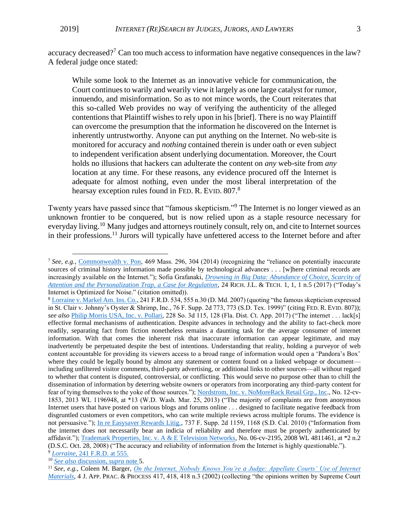accuracy decreased?<sup>7</sup> Can too much access to information have negative consequences in the law? A federal judge once stated:

While some look to the Internet as an innovative vehicle for communication, the Court continues to warily and wearily view it largely as one large catalyst for rumor, innuendo, and misinformation. So as to not mince words, the Court reiterates that this so-called Web provides no way of verifying the authenticity of the alleged contentions that Plaintiff wishes to rely upon in his [brief]. There is no way Plaintiff can overcome the presumption that the information he discovered on the Internet is inherently untrustworthy. Anyone can put anything on the Internet. No web-site is monitored for accuracy and *nothing* contained therein is under oath or even subject to independent verification absent underlying documentation. Moreover, the Court holds no illusions that hackers can adulterate the content on *any* web-site from *any* location at any time. For these reasons, any evidence procured off the Internet is adequate for almost nothing, even under the most liberal interpretation of the hearsay exception rules found in FED. R. EVID. 807.<sup>8</sup>

Twenty years have passed since that "famous skepticism."<sup>9</sup> The Internet is no longer viewed as an unknown frontier to be conquered, but is now relied upon as a staple resource necessary for everyday living.<sup>10</sup> Many judges and attorneys routinely consult, rely on, and cite to Internet sources in their professions.<sup>11</sup> Jurors will typically have unfettered access to the Internet before and after

<sup>10</sup> *See also* [discussion,](https://www.westlaw.com/Document/Id2f042e3eb1c11e498db8b09b4f043e0/View/FullText.html?transitionType=Default&contextData=(sc.Default)&VR=3.0&RS=cblt1.0) *supra* note [5.](https://www.westlaw.com/Document/Id2f042e3eb1c11e498db8b09b4f043e0/View/FullText.html?transitionType=Default&contextData=(sc.Default)&VR=3.0&RS=cblt1.0)

<sup>7</sup> *See, e.g.*, [Commonwealth v. Pon,](https://1.next.westlaw.com/Document/Iee3047be246711e490d4edf60ce7d742/View/FullText.html?transitionType=UniqueDocItem&contextData=(sc.UserEnteredCitation)&userEnteredCitation=469+Mass.+296) 469 Mass. 296, 304 (2014) (recognizing the "reliance on potentially inaccurate sources of criminal history information made possible by technological advances . . . [w]here criminal records are increasingly available on the Internet."); Sofia Grafanaki, *[Drowning in Big Data: Abundance of Choice, Scarcity of](https://1.next.westlaw.com/Document/Ic9392f752cda11e89bf099c0ee06c731/View/FullText.html?navigationPath=Search%2Fv1%2Fresults%2Fnavigation%2Fi0ad740140000016d040598bc3b898af1%3FNav%3DMULTIPLECITATIONS%26fragmentIdentifier%3DIc9392f752cda11e89bf099c0ee06c731%26parentRank%3D0%26startIndex%3D1%26contextData%3D%2528sc.Search%2529%26transitionType%3DUniqueDocItem&listSource=Search&listPageSource=d260256cb7b5f77e484daaea72a666ff&list=MULTIPLECITATIONS&sessionScopeId=00682c6621d39522fc5ce27c4e02587e9191f700832fecd9b7bcde837d90b590&originationContext=NonUniqueFindSelected&transitionType=UniqueDocItem&contextData=%28sc.Search%29)  [Attention and the Personalization Trap, a Case for Regulation](https://1.next.westlaw.com/Document/Ic9392f752cda11e89bf099c0ee06c731/View/FullText.html?navigationPath=Search%2Fv1%2Fresults%2Fnavigation%2Fi0ad740140000016d040598bc3b898af1%3FNav%3DMULTIPLECITATIONS%26fragmentIdentifier%3DIc9392f752cda11e89bf099c0ee06c731%26parentRank%3D0%26startIndex%3D1%26contextData%3D%2528sc.Search%2529%26transitionType%3DUniqueDocItem&listSource=Search&listPageSource=d260256cb7b5f77e484daaea72a666ff&list=MULTIPLECITATIONS&sessionScopeId=00682c6621d39522fc5ce27c4e02587e9191f700832fecd9b7bcde837d90b590&originationContext=NonUniqueFindSelected&transitionType=UniqueDocItem&contextData=%28sc.Search%29)*, 24 RICH. J.L. & TECH. 1, 1, 1 n.5 (2017) ("Today's Internet is Optimized for Noise." (citation omitted)).

<sup>8</sup> [Lorraine v. Markel Am. Ins. Co.,](https://1.next.westlaw.com/Document/Idbd83478fa8711dbaba7d9d29eb57eff/View/FullText.html?transitionType=UniqueDocItem&contextData=(sc.UserEnteredCitation)&userEnteredCitation=241+F.R.D.+534) 241 F.R.D. 534, 555 n.30 (D. Md. 2007) (quoting "the famous skepticism expressed in St. Clair v. Johnny's Oyster & Shrimp, Inc., 76 F. Supp. 2d 773, 773 (S.D. Tex. 1999)" (citing FED. R. EVID. 807)); *see also* [Philip Morris USA, Inc. v. Pollari,](https://1.next.westlaw.com/Document/Ica166d808e1e11e7a9cdf8f74902bf96/View/FullText.html?transitionType=UniqueDocItem&contextData=(sc.UserEnteredCitation)&userEnteredCitation=228+So.+3d+115) 228 So. 3d 115, 128 (Fla. Dist. Ct. App. 2017) ("The internet . . . lack[s] effective formal mechanisms of authentication. Despite advances in technology and the ability to fact-check more readily, separating fact from fiction nonetheless remains a daunting task for the average consumer of internet information. With that comes the inherent risk that inaccurate information can appear legitimate, and may inadvertently be perpetuated despite the best of intentions. Understanding that reality, holding a purveyor of web content accountable for providing its viewers access to a broad range of information would open a 'Pandora's Box' where they could be legally bound by almost any statement or content found on a linked webpage or document including unfiltered visitor comments, third-party advertising, or additional links to other sources—all without regard to whether that content is disputed, controversial, or conflicting. This would serve no purpose other than to chill the dissemination of information by deterring website owners or operators from incorporating any third-party content for fear of tying themselves to the yoke of those sources.")[; Nordstrom, Inc. v. NoMoreRack Retail Grp., Inc.](https://1.next.westlaw.com/Document/Ieda71fde960211e2981ea20c4f198a69/View/FullText.html?transitionType=UniqueDocItem&contextData=(sc.UserEnteredCitation)&userEnteredCitation=2013+WL+1196948), No. 12-cv-1853, 2013 WL 1196948, at \*13 (W.D. Wash. Mar. 25, 2013) ("The majority of complaints are from anonymous Internet users that have posted on various blogs and forums online . . . designed to facilitate negative feedback from disgruntled customers or even competitors, who can write multiple reviews across multiple forums. The evidence is not persuasive."); [In re Easysaver Rewards Litig.,](https://1.next.westlaw.com/Document/Ie461a3d1aba211df84cb933efb759da4/View/FullText.html?transitionType=UniqueDocItem&contextData=(sc.UserEnteredCitation)&userEnteredCitation=737+F.+Supp.+2d+1159) 737 F. Supp. 2d 1159, 1168 (S.D. Cal. 2010) ("Information from the internet does not necessarily bear an indicia of reliability and therefore must be properly authenticated by affidavit.")[; Trademark Properties, Inc. v. A & E Television Networks,](https://1.next.westlaw.com/Document/Ic708c20bac1a11ddbc7bf97f340af743/View/FullText.html?transitionType=UniqueDocItem&contextData=(sc.UserEnteredCitation)&userEnteredCitation=2008+WL+4811461) No. 06-cv-2195, 2008 WL 4811461, at \*2 n.2 (D.S.C. Oct. 28, 2008) ("The accuracy and reliability of information from the Internet is highly questionable."). <sup>9</sup> *Lorraine*[, 241 F.R.D. at 555.](https://www.westlaw.com/Document/Idbd83478fa8711dbaba7d9d29eb57eff/View/FullText.html?transitionType=Default&contextData=(sc.Default)&VR=3.0&RS=cblt1.0)

<sup>11</sup> *See, e.g.*, Coleen M. Barger, *On the Internet, Nobody Knows You're a [Judge: Appellate Courts' Use of Internet](https://www.westlaw.com/Document/Ie5d12f205adf11dbbe1cf2d29fe2afe6/View/FullText.html?transitionType=Default&contextData=(sc.Default)&VR=3.0&RS=cblt1.0)  [Materials](https://www.westlaw.com/Document/Ie5d12f205adf11dbbe1cf2d29fe2afe6/View/FullText.html?transitionType=Default&contextData=(sc.Default)&VR=3.0&RS=cblt1.0)*, 4 J. APP. PRAC. & PROCESS 417, 418, 418 n.3 (2002) (collecting "the opinions written by Supreme Court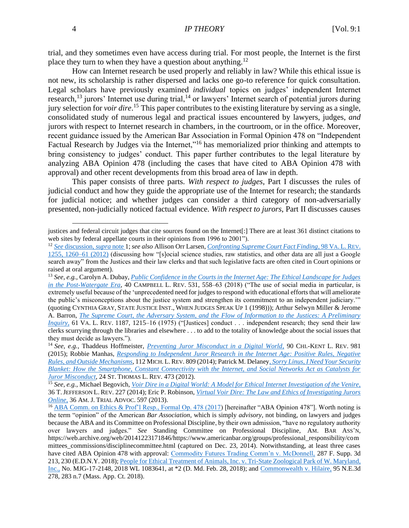trial, and they sometimes even have access during trial. For most people, the Internet is the first place they turn to when they have a question about anything.<sup>12</sup>

How can Internet research be used properly and reliably in law? While this ethical issue is not new, its scholarship is rather dispersed and lacks one go-to reference for quick consultation. Legal scholars have previously examined *individual* topics on judges' independent Internet research,<sup>13</sup> jurors' Internet use during trial,<sup>14</sup> or lawyers' Internet search of potential jurors during jury selection for *voir dire*. <sup>15</sup> This paper contributes to the existing literature by serving as a single, consolidated study of numerous legal and practical issues encountered by lawyers, judges, *and* jurors with respect to Internet research in chambers, in the courtroom, or in the office. Moreover, recent guidance issued by the American Bar Association in Formal Opinion 478 on "Independent Factual Research by Judges via the Internet,"<sup>16</sup> has memorialized prior thinking and attempts to bring consistency to judges' conduct. This paper further contributes to the legal literature by analyzing ABA Opinion 478 (including the cases that have cited to ABA Opinion 478 with approval) and other recent developments from this broad area of law in depth.

This paper consists of three parts. *With respect to judges*, Part I discusses the rules of judicial conduct and how they guide the appropriate use of the Internet for research; the standards for judicial notice; and whether judges can consider a third category of non-adversarially presented, non-judicially noticed factual evidence. *With respect to jurors*, Part II discusses causes

justices and federal circuit judges that cite sources found on the Internet[:] There are at least 361 distinct citations to web sites by federal appellate courts in their opinions from 1996 to 2001").

<sup>12</sup> *See* [discussion,](https://www.westlaw.com/Document/I15d2a0c4bdf211e8a5b3e3d9e23d7429/View/FullText.html?transitionType=Default&contextData=(sc.Default)&VR=3.0&RS=cblt1.0) *supra* not[e 1;](https://www.westlaw.com/Document/I15d2a0c4bdf211e8a5b3e3d9e23d7429/View/FullText.html?transitionType=Default&contextData=(sc.Default)&VR=3.0&RS=cblt1.0) *see also* Allison Orr Larsen, *[Confronting Supreme Court Fact Finding](https://www.westlaw.com/Document/Id5741c5811a811e28b05fdf15589d8e8/View/FullText.html?transitionType=Default&contextData=(sc.Default)&VR=3.0&RS=cblt1.0)*, 98 VA. L. REV. [1255, 1260–61 \(2012\)](https://www.westlaw.com/Document/Id5741c5811a811e28b05fdf15589d8e8/View/FullText.html?transitionType=Default&contextData=(sc.Default)&VR=3.0&RS=cblt1.0) (discussing how "[s]ocial science studies, raw statistics, and other data are all just a Google search away" from the Justices and their law clerks and that such legislative facts are often cited in Court opinions or raised at oral argument).

<sup>13</sup> *See, e.g.*, Carolyn A. Dubay, *[Public Confidence in the Courts in the Internet Age: The Ethical Landscape for Judges](https://www.westlaw.com/Document/Ic4fc345d74e711e8a5b3e3d9e23d7429/View/FullText.html?transitionType=Default&contextData=(sc.Default)&VR=3.0&RS=cblt1.0)  [in the Post-Watergate Era](https://www.westlaw.com/Document/Ic4fc345d74e711e8a5b3e3d9e23d7429/View/FullText.html?transitionType=Default&contextData=(sc.Default)&VR=3.0&RS=cblt1.0)*, 40 CAMPBELL L. REV. 531, 558–63 (2018) ("The use of social media in particular, is extremely useful because of the 'unprecedented need for judges to respond with educational efforts that will ameliorate the public's misconceptions about the justice system and strengthen its commitment to an independent judiciary.'" (quoting CYNTHIA GRAY, STATE JUSTICE INST., WHEN JUDGES SPEAK UP 1 (1998))); Arthur Selwyn Miller & Jerome A. Barron, *[The Supreme Court, the Adversary System, and the Flow of Information to the Justices: A Preliminary](https://heinonline-org.proxyiub.uits.iu.edu/HOL/Page?public=true&handle=hein.journals/valr61&div=52&start_page=1187&collection=journals&set_as_cursor=0&men_tab=srchresults)  [Inquiry](https://heinonline-org.proxyiub.uits.iu.edu/HOL/Page?public=true&handle=hein.journals/valr61&div=52&start_page=1187&collection=journals&set_as_cursor=0&men_tab=srchresults)*, 61 VA. L. REV. 1187, 1215–16 (1975) ("[Justices] conduct . . . independent research; they send their law clerks scurrying through the libraries and elsewhere . . . to add to the totality of knowledge about the social issues that they must decide as lawyers.").

<sup>14</sup> *See, e.g.*, Thaddeus Hoffmeister, *[Preventing Juror Misconduct in a Digital World](https://1.next.westlaw.com/Document/I28763a11358f11e598dc8b09b4f043e0/View/FullText.html?transitionType=Default&contextData=(sc.Default)&VR=3.0&RS=cblt1.0&__lrTS=20190912012031121)*, 90 CHI.-KENT L. REV. 981 (2015); Robbie Manhas, *[Responding to Independent Juror Research in the Internet Age: Positive Rules, Negative](https://1.next.westlaw.com/Document/I0a115719a9c011e398db8b09b4f043e0/View/FullText.html?transitionType=Default&contextData=(sc.Default)&VR=3.0&RS=cblt1.0&__lrTS=20190912012026802)  [Rules, and Outside Mechanisms](https://1.next.westlaw.com/Document/I0a115719a9c011e398db8b09b4f043e0/View/FullText.html?transitionType=Default&contextData=(sc.Default)&VR=3.0&RS=cblt1.0&__lrTS=20190912012026802)*, 112 MICH. L.REV. 809 (2014); Patrick M. Delaney, *[Sorry Linus, I Need Your Security](https://www.westlaw.com/Document/Id8e6cd58442111e28578f7ccc38dcbee/View/FullText.html?transitionType=Default&contextData=(sc.Default)&VR=3.0&RS=cblt1.0)  [Blanket: How the Smartphone, Constant Connectivity with the Internet, and Social Networks Act as Catalysts for](https://www.westlaw.com/Document/Id8e6cd58442111e28578f7ccc38dcbee/View/FullText.html?transitionType=Default&contextData=(sc.Default)&VR=3.0&RS=cblt1.0)  [Juror Misconduct](https://www.westlaw.com/Document/Id8e6cd58442111e28578f7ccc38dcbee/View/FullText.html?transitionType=Default&contextData=(sc.Default)&VR=3.0&RS=cblt1.0)*, 24 ST. THOMAS L. REV. 473 (2012).

<sup>15</sup> *See, e.g.*, Michael Begovich, *[Voir Dire in a Digital World: A Model for Ethical Internet Investigation of the Venire](https://www.westlaw.com/Document/If751b385843411e498db8b09b4f043e0/View/FullText.html?transitionType=Default&contextData=(sc.Default)&VR=3.0&RS=cblt1.0)*, 36 T.JEFFERSON L. REV. 227 (2014); Eric P. Robinson, *[Virtual Voir Dire: The Law and Ethics of Investigating Jurors](https://www.westlaw.com/Document/If8e52ee4f11611e28578f7ccc38dcbee/View/FullText.html?transitionType=Default&contextData=(sc.Default)&VR=3.0&RS=cblt1.0)  [Online](https://www.westlaw.com/Document/If8e52ee4f11611e28578f7ccc38dcbee/View/FullText.html?transitionType=Default&contextData=(sc.Default)&VR=3.0&RS=cblt1.0)*, 36 AM. J. TRIAL ADVOC. 597 (2013).

<sup>&</sup>lt;sup>16</sup> [ABA Comm. on Ethics & Prof'l Resp., Formal Op. 478 \(2017\)](https://www.americanbar.org/content/dam/aba/administrative/professional_responsibility/aba_formal_opinion_478.pdf) [hereinafter "ABA Opinion 478"]. Worth noting is the term "opinion" of the American *Bar Association*, which is simply *advisory*, not binding, on lawyers and judges because the ABA and its Committee on Professional Discipline, by their own admission, "have no regulatory authority over lawyers and judges." *See* Standing Committee on Professional Discipline, AM. BAR ASS'N, https://web.archive.org/web/20141223171846/https://www.americanbar.org/groups/professional\_responsibility/com mittees\_commissions/disciplinecommittee.html (captured on Dec. 23, 2014). Notwithstanding, at least three cases have cited ABA Opinion 478 with approval: [Commodity Futures Trading Comm'n v. McDonnell,](https://www.westlaw.com/Document/I7027f960220c11e88202f11efd70eed2/View/FullText.html?transitionType=Default&contextData=(sc.Default)&VR=3.0&RS=cblt1.0) 287 F. Supp. 3d 213, 230 (E.D.N.Y. 2018)[; People for Ethical Treatment of Animals, Inc. v. Tri-State Zoological Park of W. Maryland,](https://www.westlaw.com/Document/I0152b4801d1b11e8a03499277a8f1f0a/View/FullText.html?transitionType=Default&contextData=(sc.Default)&VR=3.0&RS=cblt1.0) [Inc.,](https://www.westlaw.com/Document/I0152b4801d1b11e8a03499277a8f1f0a/View/FullText.html?transitionType=Default&contextData=(sc.Default)&VR=3.0&RS=cblt1.0) No. MJG-17-2148, 2018 WL 1083641, at \*2 (D. Md. Feb. 28, 2018); and [Commonwealth v. Hilaire,](https://www.westlaw.com/Document/Ic6b8fcf0171e11e8b0f5f1ddd5677a94/View/FullText.html?transitionType=Default&contextData=(sc.Default)&VR=3.0&RS=cblt1.0) 95 N.E.3d 278, 283 n.7 (Mass. App. Ct. 2018).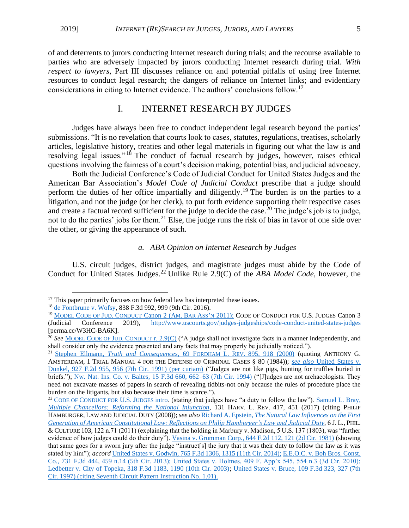of and deterrents to jurors conducting Internet research during trials; and the recourse available to parties who are adversely impacted by jurors conducting Internet research during trial. *With respect to lawyers*, Part III discusses reliance on and potential pitfalls of using free Internet resources to conduct legal research; the dangers of reliance on Internet links; and evidentiary considerations in citing to Internet evidence. The authors' conclusions follow.<sup>17</sup>

### <span id="page-6-0"></span>I. INTERNET RESEARCH BY JUDGES

Judges have always been free to conduct independent legal research beyond the parties' submissions. "It is no revelation that courts look to cases, statutes, regulations, treatises, scholarly articles, legislative history, treaties and other legal materials in figuring out what the law is and resolving legal issues."<sup>18</sup> The conduct of factual research by judges, however, raises ethical questions involving the fairness of a court's decision making, potential bias, and judicial advocacy.

Both the Judicial Conference's Code of Judicial Conduct for United States Judges and the American Bar Association's *Model Code of Judicial Conduct* prescribe that a judge should perform the duties of her office impartially and diligently.<sup>19</sup> The burden is on the parties to a litigation, and not the judge (or her clerk), to put forth evidence supporting their respective cases and create a factual record sufficient for the judge to decide the case.<sup>20</sup> The judge's job is to judge, not to do the parties' jobs for them.<sup>21</sup> Else, the judge runs the risk of bias in favor of one side over the other, or giving the appearance of such.

### <span id="page-6-2"></span>*a. ABA Opinion on Internet Research by Judges*

<span id="page-6-1"></span>U.S. circuit judges, district judges, and magistrate judges must abide by the Code of Conduct for United States Judges.<sup>22</sup> Unlike Rule 2.9(C) of the *ABA Model Code*, however, the

<sup>&</sup>lt;sup>17</sup> This paper primarily focuses on how federal law has interpreted these issues.

<sup>18</sup> [de Fontbrune v. Wofsy,](https://www.westlaw.com/Document/I49774d90845911e6b8b9e1ce282dafae/View/FullText.html?transitionType=Default&contextData=(sc.Default)&VR=3.0&RS=cblt1.0) 838 F.3d 992, 999 (9th Cir. 2016).

<sup>&</sup>lt;sup>19</sup> MODEL CODE OF JUD. CONDUCT [Canon 2 \(A](https://www.americanbar.org/groups/professional_responsibility/publications/model_code_of_judicial_conduct/)M. BAR ASS'N 2011); CODE OF CONDUCT FOR U.S. JUDGES Canon 3 (Judicial Conference 2019), <http://www.uscourts.gov/judges-judgeships/code-conduct-united-states-judges> [perma.cc/W3HC-BA6K].

<sup>&</sup>lt;sup>20</sup> *See* MODEL CODE OF JUD. CONDUCT [r. 2.9\(C\)](http://www.uscourts.gov/judges-judgeships/code-conduct-united-states-judges) ("A judge shall not investigate facts in a manner independently, and shall consider only the evidence presented and any facts that may properly be judicially noticed.").

<sup>21</sup> Stephen Ellmann, *[Truth and Consequences](https://www.westlaw.com/Document/I2a3b7ea149d711db99a18fc28eb0d9ae/View/FullText.html?transitionType=Default&contextData=(sc.Default)&VR=3.0&RS=cblt1.0)*, 69 FORDHAM L. REV. 895, 918 (2000) (quoting ANTHONY G. AMSTERDAM, 1 TRIAL MANUAL 4 FOR THE DEFENSE OF CRIMINAL CASES § 80 (1984)); *see also* [United States v.](https://www.westlaw.com/Document/Iebd24e43968711d9bc61beebb95be672/View/FullText.html?transitionType=Default&contextData=(sc.Default)&VR=3.0&RS=cblt1.0)  [Dunkel, 927 F.2d 955, 956 \(7th Cir. 1991\) \(per curiam\)](https://www.westlaw.com/Document/Iebd24e43968711d9bc61beebb95be672/View/FullText.html?transitionType=Default&contextData=(sc.Default)&VR=3.0&RS=cblt1.0) ("Judges are not like pigs, hunting for truffles buried in briefs."); [Nw. Nat. Ins. Co. v. Baltes, 15 F.3d 660, 662–63 \(7th Cir. 1994\)](https://www.westlaw.com/Document/I4d7fe89d970111d9bdd1cfdd544ca3a4/View/FullText.html?transitionType=Default&contextData=(sc.Default)&VR=3.0&RS=cblt1.0) ("[J]udges are not archaeologists. They need not excavate masses of papers in search of revealing tidbits-not only because the rules of procedure place the burden on the litigants, but also because their time is scarce.").

<sup>&</sup>lt;sup>22</sup> CODE OF C[ONDUCT FOR](http://www.uscourts.gov/judges-judgeships/code-conduct-united-states-judges) U.S. JUDGES intro. (stating that judges have "a duty to follow the law"). Samuel L. Bray, *[Multiple Chancellors: Reforming the National Injunction](https://1.next.westlaw.com/Document/Iebfac5d0e22f11e79bf099c0ee06c731/View/FullText.html?transitionType=UniqueDocItem&contextData=(sc.Default)&userEnteredCitation=131+HARV.+L.+REV.+417)*, 131 HARV. L. REV. 417, 451 (2017) (citing PHILIP HAMBURGER, LAW AND JUDICIAL DUTY (2008)); *see also* Richard A. Epstein, *[The Natural Law Influences on the First](https://chicagounbound.uchicago.edu/journal_articles/4050/)  [Generation of American Constitutional Law: Reflections on Philip Hamburger's Law and Judicial Duty](https://chicagounbound.uchicago.edu/journal_articles/4050/)*, 6 J. L., PHIL. & CULTURE 103, 122 n.71 (2011) (explaining that the holding in Marbury v. Madison, 5 U.S. 137 (1803), was "further evidence of how judges could do their duty"). [Vasina v. Grumman Corp., 644 F.2d 112, 121 \(2d Cir. 1981\)](https://www.westlaw.com/Document/Ia17a06cf927811d9bdd1cfdd544ca3a4/View/FullText.html?transitionType=Default&contextData=(sc.Default)&VR=3.0&RS=cblt1.0) (showing that same goes for a sworn jury after the judge "instruct[s] the jury that it was their duty to follow the law as it was stated by him"); *accord* [United States v. Godwin, 765 F.3d 1306, 1315 \(11th Cir. 2014\);](https://www.westlaw.com/Document/I1f91603f338711e4b4bafa136b480ad2/View/FullText.html?transitionType=Default&contextData=(sc.Default)&VR=3.0&RS=cblt1.0) [E.E.O.C. v. Boh Bros. Const.](https://www.westlaw.com/Document/Ic2fde9a729d511e38911df21cb42a557/View/FullText.html?transitionType=Default&contextData=(sc.Default)&VR=3.0&RS=cblt1.0)  [Co., 731 F.3d 444, 459 n.14 \(5th Cir. 2013\);](https://www.westlaw.com/Document/Ic2fde9a729d511e38911df21cb42a557/View/FullText.html?transitionType=Default&contextData=(sc.Default)&VR=3.0&RS=cblt1.0) [United States v. Holmes, 409 F. App'x 545, 554 n.3 \(3d Cir. 2010\);](https://cite.case.law/f-appx/409/545/#footnote_2_3) [Ledbetter v. City of Topeka, 318 F.3d 1183, 1190 \(10th Cir. 2003\);](https://www.westlaw.com/Document/Ib65a7d1389c011d98b51ba734bfc3c79/View/FullText.html?transitionType=Default&contextData=(sc.Default)&VR=3.0&RS=cblt1.0) [United States v. Bruce, 109 F.3d 323, 327 \(7th](https://www.westlaw.com/Document/Ia2a7a4ae941511d9a707f4371c9c34f0/View/FullText.html?transitionType=Default&contextData=(sc.Default)&VR=3.0&RS=cblt1.0)  [Cir. 1997\) \(citing Seventh Circuit Pattern Instruction No. 1.01\).](https://www.westlaw.com/Document/Ia2a7a4ae941511d9a707f4371c9c34f0/View/FullText.html?transitionType=Default&contextData=(sc.Default)&VR=3.0&RS=cblt1.0)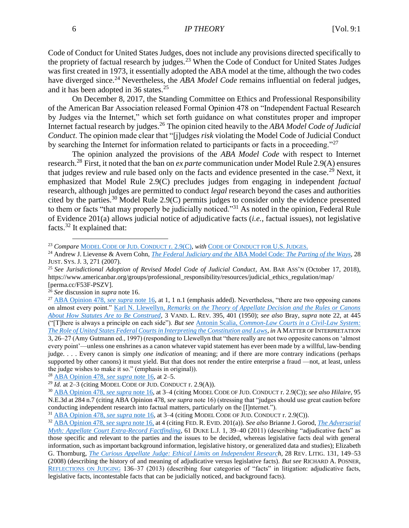### 6 *IP THEORY* [Vol. 9:1

Code of Conduct for United States Judges, does not include any provisions directed specifically to the propriety of factual research by judges.<sup>23</sup> When the Code of Conduct for United States Judges was first created in 1973, it essentially adopted the ABA model at the time, although the two codes have diverged since.<sup>24</sup> Nevertheless, the *ABA Model Code* remains influential on federal judges, and it has been adopted in 36 states.<sup>25</sup>

On December 8, 2017, the Standing Committee on Ethics and Professional Responsibility of the American Bar Association released Formal Opinion 478 on "Independent Factual Research by Judges via the Internet," which set forth guidance on what constitutes proper and improper Internet factual research by judges.<sup>26</sup> The opinion cited heavily to the *ABA Model Code of Judicial Conduct*. The opinion made clear that "[j]udges *risk* violating the Model Code of Judicial Conduct by searching the Internet for information related to participants or facts in a proceeding."<sup>27</sup>

The opinion analyzed the provisions of the *ABA Model Code* with respect to Internet research.<sup>28</sup> First, it noted that the ban on *ex parte* communication under Model Rule 2.9(A) ensures that judges review and rule based only on the facts and evidence presented in the case.<sup>29</sup> Next, it emphasized that Model Rule 2.9(C) precludes judges from engaging in independent *factual* research, although judges are permitted to conduct *legal* research beyond the cases and authorities cited by the parties.<sup>30</sup> Model Rule 2.9(C) permits judges to consider only the evidence presented to them or facts "that may properly be judicially noticed."<sup>31</sup> As noted in the opinion, Federal Rule of Evidence 201(a) allows judicial notice of adjudicative facts (*i.e.*, factual issues), not legislative facts.<sup>32</sup> It explained that:

<sup>28</sup> [ABA Opinion 478,](https://www.americanbar.org/content/dam/aba/administrative/professional_responsibility/aba_formal_opinion_478.pdf) *see supra* note 16, at 2–5.

<sup>31</sup> [ABA Opinion 478,](https://www.americanbar.org/content/dam/aba/administrative/professional_responsibility/aba_formal_opinion_478.pdf) see supra note 16, at 3–4 (citing MODEL CODE OF JUD. CONDUCT r. 2.9(C)).

<sup>23</sup> *Compare* MODEL CODE OF JUD. CONDUCT [r. 2.9\(C\),](http://www.uscourts.gov/judges-judgeships/code-conduct-united-states-judges) *with* CODE OF C[ONDUCT FOR](http://www.uscourts.gov/judges-judgeships/code-conduct-united-states-judges) U.S. JUDGES.

<sup>24</sup> Andrew J. Lievense & Avern Cohn, *[The Federal Judiciary and the](https://www.ncsc.org/~/media/Files/PDF/Publications/Justice%20System%20Journal/Federal%20Judiciary%20and%20the%20ABA%20Model.ashx)* ABA Model Code*: The Parting of the Ways*, 28 JUST. SYS. J. 3, 271 (2007).

<sup>25</sup> *See Jurisdictional Adoption of Revised Model Code of Judicial Conduct*, AM. BAR ASS'N (October 17, 2018), https://www.americanbar.org/groups/professional\_responsibility/resources/judicial\_ethics\_regulation/map/ [perma.cc/F53F-PSZV].

<sup>26</sup> *See* discussion in *supra* note 16.

<sup>&</sup>lt;sup>27</sup> [ABA Opinion 478,](https://www.americanbar.org/content/dam/aba/administrative/professional_responsibility/aba_formal_opinion_478.pdf) see supra note 16, at 1, 1 n.1 (emphasis added). Nevertheless, "there are two opposing canons on almost every point." Karl N. Llewellyn, *[Remarks on the Theory of Appellate Decision and the Rules or Canons](http://www.nylslawreview.com/wp-content/uploads/sites/16/2013/11/50-4.Sinclair.pdf)  [About How Statutes Are to Be Construed](http://www.nylslawreview.com/wp-content/uploads/sites/16/2013/11/50-4.Sinclair.pdf)*, 3 VAND. L. REV. 395, 401 (1950); *see also* Bray, *supra* note [22,](#page-6-2) at 445 ("[T]here is always a principle on each side"). *But see* Antonin Scalia, *[Common-Law Courts in a Civil-Law System:](https://www.jstor.org/stable/j.ctt7t4dg)  [The Role of United States Federal Courts in Interpreting the Constitution and Laws](https://www.jstor.org/stable/j.ctt7t4dg)*, *in* A MATTER OF INTERPRETATION 3, 26–27 (Amy Gutmann ed., 1997) (responding to Llewellyn that "there really are not two opposite canons on 'almost every point'—unless one enshrines as a canon whatever vapid statement has ever been made by a willful, law-bending judge. . . . Every canon is simply *one indication* of meaning; and if there are more contrary indications (perhaps supported by other canons) it must yield. But that does not render the entire enterprise a fraud —not, at least, unless the judge wishes to make it so." (emphasis in original)).

<sup>&</sup>lt;sup>29</sup> *Id.* at  $2-3$  (citing MODEL CODE OF JUD. CONDUCT r. 2.9(A)).

<sup>30</sup> [ABA Opinion 478,](https://www.americanbar.org/content/dam/aba/administrative/professional_responsibility/aba_formal_opinion_478.pdf) *see supra* note 16, at 3–4 (citing MODEL CODE OF JUD. CONDUCT r. 2.9(C)); *see also Hilaire*, 95 N.E.3d at 284 n.7 (citing ABA Opinion 478, *see supra* note 16) (stressing that "judges should use great caution before conducting independent research into factual matters, particularly on the [I]nternet.").

<sup>32</sup> [ABA Opinion 478,](https://www.americanbar.org/content/dam/aba/administrative/professional_responsibility/aba_formal_opinion_478.pdf) *see supra* note 16, at 4 (citing FED. R. EVID. 201(a)). *See also* Brianne J. Gorod, *[The Adversarial](https://www.westlaw.com/Document/I052ea2c4f0a411e08b05fdf15589d8e8/View/FullText.html?transitionType=Default&contextData=(sc.Default)&VR=3.0&RS=cblt1.0)  [Myth: Appellate Court Extra-Record Factfinding](https://www.westlaw.com/Document/I052ea2c4f0a411e08b05fdf15589d8e8/View/FullText.html?transitionType=Default&contextData=(sc.Default)&VR=3.0&RS=cblt1.0)*, 61 DUKE L.J. 1, 39–40 (2011) (describing "adjudicative facts" as those specific and relevant to the parties and the issues to be decided, whereas legislative facts deal with general information, such as important background information, legislative history, or generalized data and studies); Elizabeth G. Thornburg, *[The Curious Appellate Judge: Ethical Limits on Independent Research](https://www.westlaw.com/Document/I185c78d2e9ec11dd93e9a76b30106ace/View/FullText.html?transitionType=Default&contextData=(sc.Default)&VR=3.0&RS=cblt1.0)*, 28 REV. LITIG. 131, 149–53 (2008) (describing the history of and meaning of adjudicative versus legislative facts). *But see* RICHARD A. POSNER, R[EFLECTIONS ON](https://1.next.westlaw.com/Document/I510dc18474a111e598dc8b09b4f043e0/View/FullText.html?navigationPath=Search%2Fv1%2Fresults%2Fnavigation%2Fi0ad73aa50000016d25a4b7bd2b70663a%3FNav%3DANALYTICAL%26fragmentIdentifier%3DI510dc18474a111e598dc8b09b4f043e0%26parentRank%3D0%26startIndex%3D1%26contextData%3D%2528sc.Search%2529%26transitionType%3DSearchItem&listSource=Search&listPageSource=b1cb0e8b1974959e0dff35ccd7fe1a10&list=ANALYTICAL&rank=1&sessionScopeId=234ae7362099937c7dfc7eaee51ae9f3269a3716aa8920570cc85a8c21c3705c&originationContext=Search%20Result&transitionType=SearchItem&contextData=%28sc.Search%29) JUDGING 136–37 (2013) (describing four categories of "facts" in litigation: adjudicative facts, legislative facts, incontestable facts that can be judicially noticed, and background facts).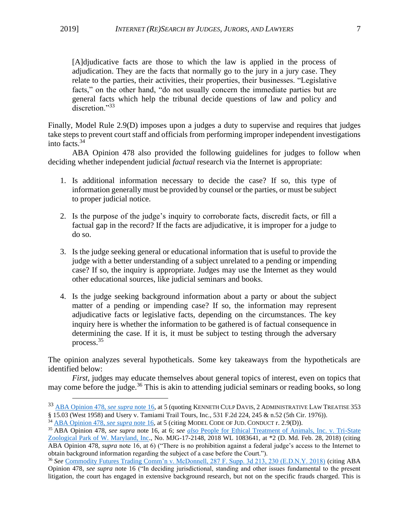[A]djudicative facts are those to which the law is applied in the process of adjudication. They are the facts that normally go to the jury in a jury case. They relate to the parties, their activities, their properties, their businesses. "Legislative facts," on the other hand, "do not usually concern the immediate parties but are general facts which help the tribunal decide questions of law and policy and discretion."<sup>33</sup>

Finally, Model Rule 2.9(D) imposes upon a judges a duty to supervise and requires that judges take steps to prevent court staff and officials from performing improper independent investigations into facts.<sup>34</sup>

ABA Opinion 478 also provided the following guidelines for judges to follow when deciding whether independent judicial *factual* research via the Internet is appropriate:

- 1. Is additional information necessary to decide the case? If so, this type of information generally must be provided by counsel or the parties, or must be subject to proper judicial notice.
- 2. Is the purpose of the judge's inquiry to corroborate facts, discredit facts, or fill a factual gap in the record? If the facts are adjudicative, it is improper for a judge to do so.
- 3. Is the judge seeking general or educational information that is useful to provide the judge with a better understanding of a subject unrelated to a pending or impending case? If so, the inquiry is appropriate. Judges may use the Internet as they would other educational sources, like judicial seminars and books.
- 4. Is the judge seeking background information about a party or about the subject matter of a pending or impending case? If so, the information may represent adjudicative facts or legislative facts, depending on the circumstances. The key inquiry here is whether the information to be gathered is of factual consequence in determining the case. If it is, it must be subject to testing through the adversary process.<sup>35</sup>

The opinion analyzes several hypotheticals. Some key takeaways from the hypotheticals are identified below:

*First*, judges may educate themselves about general topics of interest, even on topics that may come before the judge.<sup>36</sup> This is akin to attending judicial seminars or reading books, so long

<sup>&</sup>lt;sup>33</sup> [ABA Opinion 478,](https://www.americanbar.org/content/dam/aba/administrative/professional_responsibility/aba_formal_opinion_478.pdf) see supra note 16, at 5 (quoting KENNETH CULP DAVIS, 2 ADMINISTRATIVE LAW TREATISE 353 § 15.03 (West 1958) and Usery v. Tamiami Trail Tours, Inc*.*, 531 F.2d 224, 245 & n.52 (5th Cir. 1976)).

<sup>&</sup>lt;sup>34</sup> [ABA Opinion 478,](https://www.americanbar.org/content/dam/aba/administrative/professional_responsibility/aba_formal_opinion_478.pdf) *see supra* note 16, at 5 (citing MODEL CODE OF JUD. CONDUCT r. 2.9(D)).

<sup>35</sup> ABA Opinion 478, *see supra* note 16, at 6; *see also* [People for Ethical Treatment of Animals, Inc. v. Tri-State](https://1.next.westlaw.com/Document/I0152b4801d1b11e8a03499277a8f1f0a/View/FullText.html?transitionType=Default&contextData=(sc.Default)&VR=3.0&RS=cblt1.0&__lrTS=20190912132735296)  [Zoological Park of W. Maryland, Inc.](https://1.next.westlaw.com/Document/I0152b4801d1b11e8a03499277a8f1f0a/View/FullText.html?transitionType=Default&contextData=(sc.Default)&VR=3.0&RS=cblt1.0&__lrTS=20190912132735296), No. MJG-17-2148, 2018 WL 1083641, at \*2 (D. Md. Feb. 28, 2018) (citing ABA Opinion 478, *supra* note 16, at 6) ("There is no prohibition against a federal judge's access to the Internet to obtain background information regarding the subject of a case before the Court.").

<sup>36</sup> *See* [Commodity Futures Trading Comm'n v. McDonnell, 287 F. Supp. 3d 213, 230 \(E.D.N.Y. 2018\)](https://www.westlaw.com/Document/I7027f960220c11e88202f11efd70eed2/View/FullText.html?transitionType=Default&contextData=(sc.Default)&VR=3.0&RS=cblt1.0) (citing ABA Opinion 478, *see supra* note 16 ("In deciding jurisdictional, standing and other issues fundamental to the present litigation, the court has engaged in extensive background research, but not on the specific frauds charged. This is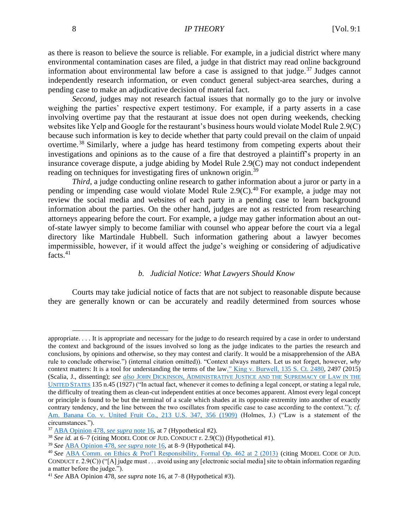as there is reason to believe the source is reliable. For example, in a judicial district where many environmental contamination cases are filed, a judge in that district may read online background information about environmental law before a case is assigned to that judge.<sup>37</sup> Judges cannot independently research information, or even conduct general subject-area searches, during a pending case to make an adjudicative decision of material fact.

*Second*, judges may not research factual issues that normally go to the jury or involve weighing the parties' respective expert testimony. For example, if a party asserts in a case involving overtime pay that the restaurant at issue does not open during weekends, checking websites like Yelp and Google for the restaurant's business hours would violate Model Rule 2.9(C) because such information is key to decide whether that party could prevail on the claim of unpaid overtime.<sup>38</sup> Similarly, where a judge has heard testimony from competing experts about their investigations and opinions as to the cause of a fire that destroyed a plaintiff's property in an insurance coverage dispute, a judge abiding by Model Rule 2.9(C) may not conduct independent reading on techniques for investigating fires of unknown origin.<sup>39</sup>

*Third*, a judge conducting online research to gather information about a juror or party in a pending or impending case would violate Model Rule  $2.9(C)$ .<sup>40</sup> For example, a judge may not review the social media and websites of each party in a pending case to learn background information about the parties. On the other hand, judges are not as restricted from researching attorneys appearing before the court. For example, a judge may gather information about an outof-state lawyer simply to become familiar with counsel who appear before the court via a legal directory like Martindale Hubbell. Such information gathering about a lawyer becomes impermissible, however, if it would affect the judge's weighing or considering of adjudicative  $facts.<sup>41</sup>$ 

#### *b. Judicial Notice: What Lawyers Should Know*

<span id="page-9-0"></span>Courts may take judicial notice of facts that are not subject to reasonable dispute because they are generally known or can be accurately and readily determined from sources whose

appropriate. . . . It is appropriate and necessary for the judge to do research required by a case in order to understand the context and background of the issues involved so long as the judge indicates to the parties the research and conclusions, by opinions and otherwise, so they may contest and clarify. It would be a misapprehension of the ABA rule to conclude otherwise.") (internal citation omitted)). "Context always matters. Let us not forget, however, *why* context matters: It is a tool for understanding the terms of the la[w." King v. Burwell, 135 S. Ct. 2480,](https://www.westlaw.com/Document/Ib76fbc5d1b4311e5a795ac035416da91/View/FullText.html?transitionType=Default&contextData=(sc.Default)&VR=3.0&RS=cblt1.0) 2497 (2015) (Scalia, J., dissenting); *see also* JOHN DICKINSON, ADMINISTRATIVE J[USTICE AND THE](https://1.next.westlaw.com/Document/I3dbd96cd4a7f11de9b8c850332338889/View/FullText.html?navigationPath=Search%2Fv1%2Fresults%2Fnavigation%2Fi0ad73aa50000016d25db7ed22b70966d%3FNav%3DANALYTICAL%26fragmentIdentifier%3DI3dbd96cd4a7f11de9b8c850332338889%26parentRank%3D0%26startIndex%3D1%26contextData%3D%2528sc.Search%2529%26transitionType%3DSearchItem&listSource=Search&listPageSource=5d75c7a426d5c6348ab4d395a19ceda2&list=ANALYTICAL&rank=2&sessionScopeId=f30d01127a5feab49ca6636387dd3c3e9cdae18eb4c7cbee8896be4411a52f40&originationContext=Smart%20Answer&transitionType=SearchItem&contextData=%28sc.Search%29) SUPREMACY OF LAW IN THE U[NITED](https://1.next.westlaw.com/Document/I3dbd96cd4a7f11de9b8c850332338889/View/FullText.html?navigationPath=Search%2Fv1%2Fresults%2Fnavigation%2Fi0ad73aa50000016d25db7ed22b70966d%3FNav%3DANALYTICAL%26fragmentIdentifier%3DI3dbd96cd4a7f11de9b8c850332338889%26parentRank%3D0%26startIndex%3D1%26contextData%3D%2528sc.Search%2529%26transitionType%3DSearchItem&listSource=Search&listPageSource=5d75c7a426d5c6348ab4d395a19ceda2&list=ANALYTICAL&rank=2&sessionScopeId=f30d01127a5feab49ca6636387dd3c3e9cdae18eb4c7cbee8896be4411a52f40&originationContext=Smart%20Answer&transitionType=SearchItem&contextData=%28sc.Search%29) STATES 135 n.45 (1927) ("In actual fact, whenever it comes to defining a legal concept, or stating a legal rule, the difficulty of treating them as clean-cut independent entities at once becomes apparent. Almost every legal concept or principle is found to be but the terminal of a scale which shades at its opposite extremity into another of exactly contrary tendency, and the line between the two oscillates from specific case to case according to the context."); *cf.*  [Am. Banana Co. v. United Fruit Co., 213 U.S. 347, 356 \(1909\)](https://www.westlaw.com/Document/Ied4bd3d19cba11d991d0cc6b54f12d4d/View/FullText.html?transitionType=Default&contextData=(sc.Default)&VR=3.0&RS=cblt1.0) (Holmes, J.) ("Law is a statement of the circumstances.").

<sup>37</sup> [ABA Opinion 478,](https://www.americanbar.org/content/dam/aba/administrative/professional_responsibility/aba_formal_opinion_478.pdf) *see supra* note 16, at 7 (Hypothetical #2).

<sup>38</sup> *See id.* at 6–7 (citing MODEL CODE OF JUD. CONDUCT r. 2.9(C)) (Hypothetical #1).

<sup>39</sup> *See* [ABA Opinion 478,](https://www.americanbar.org/content/dam/aba/administrative/professional_responsibility/aba_formal_opinion_478.pdf) *see supra* note 16, at 8–9 (Hypothetical #4).

<sup>40</sup> *See* [ABA Comm. on Ethics & Prof'l Responsibility, Formal Op. 462 at 2 \(2013\)](https://www.americanbar.org/content/dam/aba/administrative/professional_responsibility/formal_opinion_462.authcheckdam.pdf) (citing MODEL CODE OF JUD. CONDUCT r. 2.9(C)) ("[A] judge must . . . avoid using any [electronic social media] site to obtain information regarding a matter before the judge.").

<sup>41</sup> *See* ABA Opinion 478, *see supra* note 16, at 7–8 (Hypothetical #3).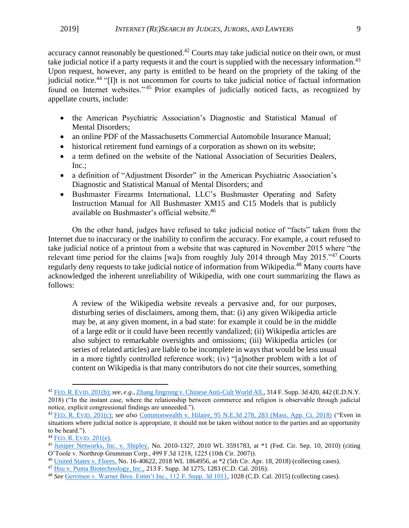accuracy cannot reasonably be questioned.<sup>42</sup> Courts may take judicial notice on their own, or must take judicial notice if a party requests it and the court is supplied with the necessary information.<sup>43</sup> Upon request, however, any party is entitled to be heard on the propriety of the taking of the judicial notice.<sup>44</sup> "[I]t is not uncommon for courts to take judicial notice of factual information found on Internet websites."<sup>45</sup> Prior examples of judicially noticed facts, as recognized by appellate courts, include:

- the American Psychiatric Association's Diagnostic and Statistical Manual of Mental Disorders;
- an online PDF of the Massachusetts Commercial Automobile Insurance Manual;
- historical retirement fund earnings of a corporation as shown on its website;
- a term defined on the website of the National Association of Securities Dealers, Inc.;
- a definition of "Adjustment Disorder" in the American Psychiatric Association's Diagnostic and Statistical Manual of Mental Disorders; and
- Bushmaster Firearms International, LLC's Bushmaster Operating and Safety Instruction Manual for All Bushmaster XM15 and C15 Models that is publicly available on Bushmaster's official website.<sup>46</sup>

On the other hand, judges have refused to take judicial notice of "facts" taken from the Internet due to inaccuracy or the inability to confirm the accuracy. For example, a court refused to take judicial notice of a printout from a website that was captured in November 2015 where "the relevant time period for the claims [wa]s from roughly July 2014 through May 2015."<sup>47</sup> Courts regularly deny requests to take judicial notice of information from Wikipedia.<sup>48</sup> Many courts have acknowledged the inherent unreliability of Wikipedia, with one court summarizing the flaws as follows:

A review of the Wikipedia website reveals a pervasive and, for our purposes, disturbing series of disclaimers, among them, that: (i) any given Wikipedia article may be, at any given moment, in a bad state: for example it could be in the middle of a large edit or it could have been recently vandalized; (ii) Wikipedia articles are also subject to remarkable oversights and omissions; (iii) Wikipedia articles (or series of related articles) are liable to be incomplete in ways that would be less usual in a more tightly controlled reference work; (iv) "[a]nother problem with a lot of content on Wikipedia is that many contributors do not cite their sources, something

<sup>42</sup> FED.R. EVID. [201\(b\);](https://www.law.cornell.edu/rules/fre/rule_201) *see, e.g.*[, Zhang Jingrong v. Chinese Anti-Cult World All.,](https://www.westlaw.com/Document/Id5d63a5064f211e88808c81b5a222cba/View/FullText.html?transitionType=Default&contextData=(sc.Default)&VR=3.0&RS=cblt1.0) 314 F. Supp. 3d 420, 442 (E.D.N.Y. 2018) ("In the instant case, where the relationship between commerce and religion is observable through judicial notice, explicit congressional findings are unneeded.").

<sup>43</sup> FED. R. EVID. [201\(c\);](https://www.law.cornell.edu/rules/fre/rule_201) *see also* [Commonwealth v. Hilaire, 95 N.E.3d 278, 283 \(Mass. App. Ct. 2018\)](https://1.next.westlaw.com/Document/Ic6b8fcf0171e11e8b0f5f1ddd5677a94/View/FullText.html?originationContext=typeAhead&transitionType=Default&contextData=(sc.Default)) ("Even in situations where judicial notice is appropriate, it should not be taken without notice to the parties and an opportunity to be heard.").

<sup>44</sup> FED. R. EVID. [201\(e\).](https://www.law.cornell.edu/rules/fre/rule_201)

<sup>45</sup> [Juniper Networks, Inc. v. Shipley,](https://1.next.westlaw.com/Document/Ie5e5a61ec22711df89d8bf2e8566150b/View/FullText.html?transitionType=UniqueDocItem&contextData=(sc.Search)&userEnteredCitation=394+F.+App%27x+713) No. 2010-1327, 2010 WL 3591783, at \*1 (Fed. Cir. Sep. 10, 2010) (citing O'Toole v. Northrop Grumman Corp., 499 F.3d 1218, 1225 (10th Cir. 2007)).

<sup>46</sup> [United States v. Flores,](https://1.next.westlaw.com/Document/I2fb5693043e511e888d5f23feb60b681/View/FullText.html?navigationPath=Search%2Fv1%2Fresults%2Fnavigation%2Fi0ad604ac0000016ce39b16451fbaff90%3FNav%3DCASE%26fragmentIdentifier%3DI2fb5693043e511e888d5f23feb60b681%26parentRank%3D0%26startIndex%3D1%26contextData%3D%2528sc.Search%2529%26transitionType%3DSearchItem&listSource=Search&listPageSource=e6aa7717509f53d208135fb2c032a7e8&list=CASE&rank=1&sessionScopeId=6cdf3eb172246fb2d3a67ab1ff3a3243ea9d18e3da62545a22ae9fb79efb2dca&originationContext=Search%20Result&transitionType=SearchItem&contextData=%28sc.Search%29&isSnapSnippetLink=true#co_snip_1926) No. 16-40622, 2018 WL 1864956, at \*2 (5th Cir. Apr. 18, 2018) (collecting cases).

<sup>47</sup> [Hsu v. Puma Biotechnology, Inc.,](https://1.next.westlaw.com/Document/I2c9c89a08ce311e6b8b9e1ce282dafae/View/FullText.html?navigationPath=Search%2Fv1%2Fresults%2Fnavigation%2Fi0ad604ac0000016ce3a9457d1fbb0aea%3FNav%3DCASE%26fragmentIdentifier%3DI2c9c89a08ce311e6b8b9e1ce282dafae%26parentRank%3D0%26startIndex%3D1%26contextData%3D%2528sc.Search%2529%26transitionType%3DSearchItem&listSource=Search&listPageSource=8c6dbc265706af0bafd16be209088d37&list=CASE&rank=1&sessionScopeId=6cdf3eb172246fb2d3a67ab1ff3a3243ea9d18e3da62545a22ae9fb79efb2dca&originationContext=Search%20Result&transitionType=SearchItem&contextData=%28sc.Search%29) 213 F. Supp. 3d 1275, 1283 (C.D. Cal. 2016).

<sup>48</sup> *See* [Gerritsen v. Warner Bros. Entm't Inc., 112 F. Supp. 3d 1011,](https://1.next.westlaw.com/Document/Ie6ed915723f011e5b4bafa136b480ad2/View/FullText.html?navigationPath=Search%2Fv1%2Fresults%2Fnavigation%2Fi0ad604ac0000016ce3af30931fbb0e39%3FNav%3DCASE%26fragmentIdentifier%3DIe6ed915723f011e5b4bafa136b480ad2%26parentRank%3D0%26startIndex%3D1%26contextData%3D%2528sc.Search%2529%26transitionType%3DSearchItem&listSource=Search&listPageSource=4bc119fdd9cac358220fc9ba5081ea78&list=CASE&rank=1&sessionScopeId=6cdf3eb172246fb2d3a67ab1ff3a3243ea9d18e3da62545a22ae9fb79efb2dca&originationContext=Smart%20Answer&transitionType=SearchItem&contextData=%28sc.Search%29) 1028 (C.D. Cal. 2015) (collecting cases).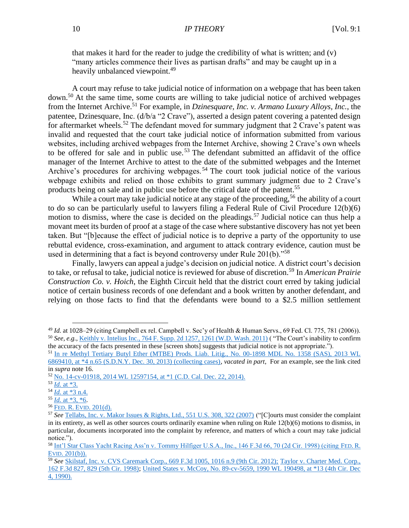that makes it hard for the reader to judge the credibility of what is written; and (v) "many articles commence their lives as partisan drafts" and may be caught up in a heavily unbalanced viewpoint.<sup>49</sup>

A court may refuse to take judicial notice of information on a webpage that has been taken down.<sup>50</sup> At the same time, some courts are willing to take judicial notice of archived webpages from the Internet Archive.<sup>51</sup> For example, in *Dzinesquare, Inc. v. Armano Luxury Alloys, Inc.*, the patentee, Dzinesquare, Inc. (d/b/a "2 Crave"), asserted a design patent covering a patented design for aftermarket wheels.<sup>52</sup> The defendant moved for summary judgment that 2 Crave's patent was invalid and requested that the court take judicial notice of information submitted from various websites, including archived webpages from the Internet Archive, showing 2 Crave's own wheels to be offered for sale and in public use.<sup>53</sup> The defendant submitted an affidavit of the office manager of the Internet Archive to attest to the date of the submitted webpages and the Internet Archive's procedures for archiving webpages.<sup>54</sup> The court took judicial notice of the various webpage exhibits and relied on those exhibits to grant summary judgment due to 2 Crave's products being on sale and in public use before the critical date of the patent.<sup>55</sup>

While a court may take judicial notice at any stage of the proceeding,<sup>56</sup> the ability of a court to do so can be particularly useful to lawyers filing a Federal Rule of Civil Procedure 12(b)(6) motion to dismiss, where the case is decided on the pleadings.<sup>57</sup> Judicial notice can thus help a movant meet its burden of proof at a stage of the case where substantive discovery has not yet been taken. But "[b]ecause the effect of judicial notice is to deprive a party of the opportunity to use rebuttal evidence, cross-examination, and argument to attack contrary evidence, caution must be used in determining that a fact is beyond controversy under Rule 201(b).<sup>558</sup>

Finally, lawyers can appeal a judge's decision on judicial notice. A district court's decision to take, or refusal to take, judicial notice is reviewed for abuse of discretion.<sup>59</sup> In *American Prairie Construction Co. v. Hoich*, the Eighth Circuit held that the district court erred by taking judicial notice of certain business records of one defendant and a book written by another defendant, and relying on those facts to find that the defendants were bound to a \$2.5 million settlement

<sup>&</sup>lt;sup>49</sup> *Id.* at 1028–29 (citing Campbell ex rel. Campbell v. Sec'y of Health & Human Servs., 69 Fed. Cl. 775, 781 (2006)). <sup>50</sup> *See, e.g.*[, Keithly v. Intelius Inc., 764 F. Supp. 2d 1257, 1261 \(W.D. Wash. 2011\)](https://1.next.westlaw.com/Document/Idd8db5fb3a8811e088699d6fd571daba/View/FullText.html?originationContext=typeAhead&transitionType=Default&contextData=(sc.Default)) ( "The Court's inability to confirm the accuracy of the facts presented in these [screen shots] suggests that judicial notice is not appropriate.").

<sup>51</sup> In re Methyl Tertiary Butyl Ether (MTBE) Prods. Liab. Litig., No. 00-1898 MDL No. 1358 (SAS), 2013 WL [6869410, at \\*4 n.65 \(S.D.N.Y. Dec. 30, 2013\) \(collecting cases\),](https://1.next.westlaw.com/Document/I2770e3b273c811e381b8b0e9e015e69e/View/FullText.html?originationContext=typeAhead&transitionType=Default&contextData=(sc.Default)) *vacated in part*, For an example, see the link cited in *supra* note 16.

<sup>52</sup> [No. 14-cv-01918, 2014 WL 12597154, at \\*1 \(C.D. Cal. Dec. 22, 2014\).](https://1.next.westlaw.com/Document/I93b97bc0afca11e6b27be1b44e7e7e5b/View/FullText.html?transitionType=UniqueDocItem&contextData=(sc.Search)&userEnteredCitation=2014+WL+12597154)

<sup>53</sup> *Id.* [at \\*3.](https://1.next.westlaw.com/Document/I93b97bc0afca11e6b27be1b44e7e7e5b/View/FullText.html?transitionType=UniqueDocItem&contextData=(sc.Search)&userEnteredCitation=2014+WL+12597154)

<sup>54</sup> *Id.* [at \\*3 n.4.](https://1.next.westlaw.com/Document/I93b97bc0afca11e6b27be1b44e7e7e5b/View/FullText.html?transitionType=UniqueDocItem&contextData=(sc.Search)&userEnteredCitation=2014+WL+12597154)

 $\frac{55}{1}$   $\frac{1}{6}$  [at \\*3, \\*6.](https://1.next.westlaw.com/Document/I93b97bc0afca11e6b27be1b44e7e7e5b/View/FullText.html?transitionType=UniqueDocItem&contextData=(sc.Search)&userEnteredCitation=2014+WL+12597154)

<sup>56</sup> FED. R. EVID. [201\(d\).](https://www.law.cornell.edu/rules/fre/rule_201)

<sup>57</sup> *See* [Tellabs, Inc. v. Makor Issues & Rights, Ltd., 551 U.S. 308, 322 \(2007\)](https://1.next.westlaw.com/Document/Ic37dd7791fdd11dc9b239dfedc9bb45f/View/FullText.html?originationContext=typeAhead&transitionType=Default&contextData=(sc.Default)) ("[C]ourts must consider the complaint in its entirety, as well as other sources courts ordinarily examine when ruling on Rule 12(b)(6) motions to dismiss, in particular, documents incorporated into the complaint by reference, and matters of which a court may take judicial notice.").

<sup>58</sup> [Int'l Star Class Yacht Racing Ass'n v. Tommy Hilfiger U.S.A., Inc., 146 F.3d 66, 70 \(2d Cir. 1998\) \(citing F](https://1.next.westlaw.com/Document/I0574d805944811d9bc61beebb95be672/View/FullText.html?navigationPath=Search%2Fv1%2Fresults%2Fnavigation%2Fi0ad740130000016ce48300b3252e91a6%3FNav%3DCASE%26fragmentIdentifier%3DI0574d805944811d9bc61beebb95be672%26parentRank%3D0%26startIndex%3D1%26contextData%3D%2528sc.Search%2529%26transitionType%3DSearchItem&listSource=Search&listPageSource=d26f7a33fe900b6c50b31ee80f835501&list=CASE&rank=1&sessionScopeId=bf1856e5fd144656b719d21abcbb3e56e1c0fa7e59c7a926b8bb23487be3e635&originationContext=Smart%20Answer&transitionType=SearchItem&contextData=%28sc.Search%29)ED. R. EVID. [201\(b\)\).](https://1.next.westlaw.com/Document/I0574d805944811d9bc61beebb95be672/View/FullText.html?navigationPath=Search%2Fv1%2Fresults%2Fnavigation%2Fi0ad740130000016ce48300b3252e91a6%3FNav%3DCASE%26fragmentIdentifier%3DI0574d805944811d9bc61beebb95be672%26parentRank%3D0%26startIndex%3D1%26contextData%3D%2528sc.Search%2529%26transitionType%3DSearchItem&listSource=Search&listPageSource=d26f7a33fe900b6c50b31ee80f835501&list=CASE&rank=1&sessionScopeId=bf1856e5fd144656b719d21abcbb3e56e1c0fa7e59c7a926b8bb23487be3e635&originationContext=Smart%20Answer&transitionType=SearchItem&contextData=%28sc.Search%29)

<sup>59</sup> *See* [Skilstaf, Inc. v. CVS Caremark Corp., 669 F.3d 1005, 1016 n.9 \(9th Cir. 2012\);](https://1.next.westlaw.com/Document/I5a9bdcb7533d11e1a11e96c51301c5ef/View/FullText.html?navigationPath=Search%2Fv1%2Fresults%2Fnavigation%2Fi0ad740130000016ce48c0a98252e9522%3FNav%3DCASE%26fragmentIdentifier%3DI5a9bdcb7533d11e1a11e96c51301c5ef%26parentRank%3D0%26startIndex%3D1%26contextData%3D%2528sc.Search%2529%26transitionType%3DSearchItem&listSource=Search&listPageSource=edd78c3386af6e203303d6eafe8ab6e7&list=CASE&rank=1&sessionScopeId=bf1856e5fd144656b719d21abcbb3e56e1c0fa7e59c7a926b8bb23487be3e635&originationContext=Smart%20Answer&transitionType=SearchItem&contextData=%28sc.Search%29) [Taylor v. Charter Med. Corp.,](https://1.next.westlaw.com/Document/I5d50a795947d11d9bdd1cfdd544ca3a4/View/FullText.html?navigationPath=Search%2Fv1%2Fresults%2Fnavigation%2Fi0ad740130000016ce48a5cff252e943d%3FNav%3DCASE%26fragmentIdentifier%3DI5d50a795947d11d9bdd1cfdd544ca3a4%26parentRank%3D0%26startIndex%3D1%26contextData%3D%2528sc.Search%2529%26transitionType%3DSearchItem&listSource=Search&listPageSource=94820710005b45fc4ab8bb1e47601009&list=CASE&rank=1&sessionScopeId=bf1856e5fd144656b719d21abcbb3e56e1c0fa7e59c7a926b8bb23487be3e635&originationContext=Smart%20Answer&transitionType=SearchItem&contextData=%28sc.Search%29)  [162 F.3d 827, 829 \(5th Cir. 1998\);](https://1.next.westlaw.com/Document/I5d50a795947d11d9bdd1cfdd544ca3a4/View/FullText.html?navigationPath=Search%2Fv1%2Fresults%2Fnavigation%2Fi0ad740130000016ce48a5cff252e943d%3FNav%3DCASE%26fragmentIdentifier%3DI5d50a795947d11d9bdd1cfdd544ca3a4%26parentRank%3D0%26startIndex%3D1%26contextData%3D%2528sc.Search%2529%26transitionType%3DSearchItem&listSource=Search&listPageSource=94820710005b45fc4ab8bb1e47601009&list=CASE&rank=1&sessionScopeId=bf1856e5fd144656b719d21abcbb3e56e1c0fa7e59c7a926b8bb23487be3e635&originationContext=Smart%20Answer&transitionType=SearchItem&contextData=%28sc.Search%29) [United States v. McCoy, No. 89-cv-5659, 1990 WL 190498, at \\*13 \(4th Cir. Dec](https://1.next.westlaw.com/Document/I8c7edb1c8d0f11d9a707f4371c9c34f0/View/FullText.html?transitionType=UniqueDocItem&contextData=(sc.Search)&userEnteredCitation=1990+WL+190498)  [4, 1990\).](https://1.next.westlaw.com/Document/I8c7edb1c8d0f11d9a707f4371c9c34f0/View/FullText.html?transitionType=UniqueDocItem&contextData=(sc.Search)&userEnteredCitation=1990+WL+190498)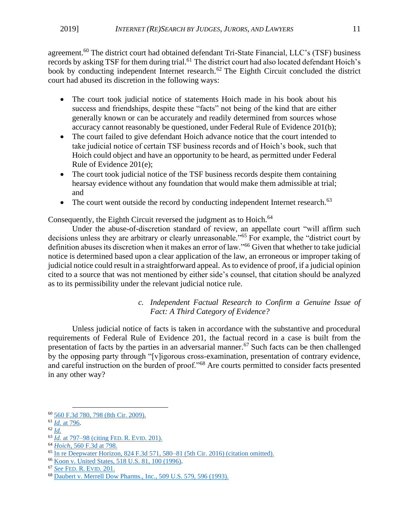agreement.<sup>60</sup> The district court had obtained defendant Tri-State Financial, LLC's (TSF) business records by asking TSF for them during trial.<sup>61</sup> The district court had also located defendant Hoich's book by conducting independent Internet research.<sup>62</sup> The Eighth Circuit concluded the district court had abused its discretion in the following ways:

- The court took judicial notice of statements Hoich made in his book about his success and friendships, despite these "facts" not being of the kind that are either generally known or can be accurately and readily determined from sources whose accuracy cannot reasonably be questioned, under Federal Rule of Evidence 201(b);
- The court failed to give defendant Hoich advance notice that the court intended to take judicial notice of certain TSF business records and of Hoich's book, such that Hoich could object and have an opportunity to be heard, as permitted under Federal Rule of Evidence 201(e);
- The court took judicial notice of the TSF business records despite them containing hearsay evidence without any foundation that would make them admissible at trial; and
- The court went outside the record by conducting independent Internet research.<sup>63</sup>

Consequently, the Eighth Circuit reversed the judgment as to Hoich.<sup>64</sup>

Under the abuse-of-discretion standard of review, an appellate court "will affirm such decisions unless they are arbitrary or clearly unreasonable."<sup>65</sup> For example, the "district court by definition abuses its discretion when it makes an error of law."<sup>66</sup> Given that whether to take judicial notice is determined based upon a clear application of the law, an erroneous or improper taking of judicial notice could result in a straightforward appeal. As to evidence of proof, if a judicial opinion cited to a source that was not mentioned by either side's counsel, that citation should be analyzed as to its permissibility under the relevant judicial notice rule.

## *c. Independent Factual Research to Confirm a Genuine Issue of Fact: A Third Category of Evidence?*

<span id="page-12-0"></span>Unless judicial notice of facts is taken in accordance with the substantive and procedural requirements of Federal Rule of Evidence 201, the factual record in a case is built from the presentation of facts by the parties in an adversarial manner.<sup>67</sup> Such facts can be then challenged by the opposing party through "[v]igorous cross-examination, presentation of contrary evidence, and careful instruction on the burden of proof."<sup>68</sup> Are courts permitted to consider facts presented in any other way?

<sup>60</sup> [560 F.3d 780, 798 \(8th Cir. 2009\).](https://1.next.westlaw.com/Document/If5a75010186511deb6a3a099756c05b7/View/FullText.html?transitionType=UniqueDocItem&contextData=(sc.UserEnteredCitation)&userEnteredCitation=560+F.3d+780)

 $61 \overline{Id}$ . [at 796.](https://1.next.westlaw.com/Document/If5a75010186511deb6a3a099756c05b7/View/FullText.html?transitionType=UniqueDocItem&contextData=(sc.UserEnteredCitation)&userEnteredCitation=560+F.3d+780)

<sup>62</sup> *[Id.](https://1.next.westlaw.com/Document/If5a75010186511deb6a3a099756c05b7/View/FullText.html?transitionType=UniqueDocItem&contextData=(sc.UserEnteredCitation)&userEnteredCitation=560+F.3d+780)*

<sup>63</sup> *Id.* [at 797–98 \(citing F](https://1.next.westlaw.com/Document/If5a75010186511deb6a3a099756c05b7/View/FullText.html?transitionType=UniqueDocItem&contextData=(sc.UserEnteredCitation)&userEnteredCitation=560+F.3d+780)ED. R. EVID. 201).

<sup>64</sup> *Hoich*[, 560 F.3d at 798.](https://1.next.westlaw.com/Document/If5a75010186511deb6a3a099756c05b7/View/FullText.html?transitionType=UniqueDocItem&contextData=(sc.UserEnteredCitation)&userEnteredCitation=560+F.3d+780)

<sup>65</sup> [In re Deepwater Horizon, 824 F.3d 571, 580–81 \(5th Cir. 2016\) \(citation omitted\).](https://1.next.westlaw.com/Document/Iad31e2702a1b11e6accba36daa2dab8f/View/FullText.html?transitionType=UniqueDocItem&contextData=(sc.UserEnteredCitation)&userEnteredCitation=824+F.3d+571)

<sup>66</sup> [Koon v. United States, 518 U.S. 81, 100 \(1996\).](https://1.next.westlaw.com/Document/I96da0f9e9c4511d9bdd1cfdd544ca3a4/View/FullText.html) 

<sup>67</sup> *See* FED. R. EVID. [201.](https://www.law.cornell.edu/rules/fre/rule_201)

<sup>68</sup> [Daubert v. Merrell Dow Pharms., Inc., 509 U.S. 579, 596 \(1993\).](https://1.next.westlaw.com/Document/Ia094c02a9c9a11d993e6d35cc61aab4a/View/FullText.html?transitionType=UniqueDocItem&contextData=(sc.UserEnteredCitation)&userEnteredCitation=509+U.S.+579)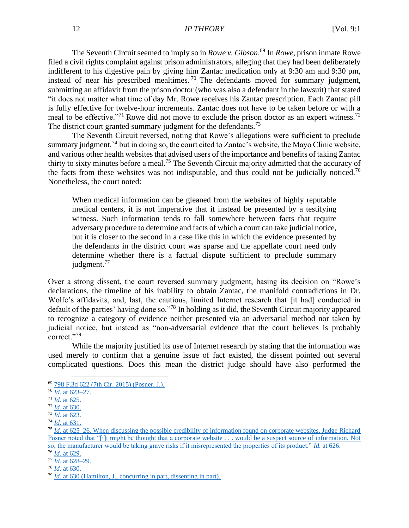The Seventh Circuit seemed to imply so in *Rowe v. Gibson*. <sup>69</sup> In *Rowe*, prison inmate Rowe filed a civil rights complaint against prison administrators, alleging that they had been deliberately indifferent to his digestive pain by giving him Zantac medication only at 9:30 am and 9:30 pm, instead of near his prescribed mealtimes.<sup>70</sup> The defendants moved for summary judgment, submitting an affidavit from the prison doctor (who was also a defendant in the lawsuit) that stated "it does not matter what time of day Mr. Rowe receives his Zantac prescription. Each Zantac pill is fully effective for twelve-hour increments. Zantac does not have to be taken before or with a meal to be effective."<sup>71</sup> Rowe did not move to exclude the prison doctor as an expert witness.<sup>72</sup> The district court granted summary judgment for the defendants.<sup>73</sup>

The Seventh Circuit reversed, noting that Rowe's allegations were sufficient to preclude summary judgment,  $^{74}$  but in doing so, the court cited to Zantac's website, the Mayo Clinic website, and various other health websites that advised users of the importance and benefits of taking Zantac thirty to sixty minutes before a meal.<sup>75</sup> The Seventh Circuit majority admitted that the accuracy of the facts from these websites was not indisputable, and thus could not be judicially noticed.<sup>76</sup> Nonetheless, the court noted:

When medical information can be gleaned from the websites of highly reputable medical centers, it is not imperative that it instead be presented by a testifying witness. Such information tends to fall somewhere between facts that require adversary procedure to determine and facts of which a court can take judicial notice, but it is closer to the second in a case like this in which the evidence presented by the defendants in the district court was sparse and the appellate court need only determine whether there is a factual dispute sufficient to preclude summary judgment.<sup>77</sup>

Over a strong dissent, the court reversed summary judgment, basing its decision on "Rowe's declarations, the timeline of his inability to obtain Zantac, the manifold contradictions in Dr. Wolfe's affidavits, and, last, the cautious, limited Internet research that [it had] conducted in default of the parties' having done so."<sup>78</sup> In holding as it did, the Seventh Circuit majority appeared to recognize a category of evidence neither presented via an adversarial method nor taken by judicial notice, but instead as "non-adversarial evidence that the court believes is probably correct."<sup>79</sup>

While the majority justified its use of Internet research by stating that the information was used merely to confirm that a genuine issue of fact existed, the dissent pointed out several complicated questions. Does this mean the district judge should have also performed the

<sup>69</sup> [798 F.3d 622 \(7th Cir. 2015\) \(Posner, J.\).](https://1.next.westlaw.com/Document/I554231c2471311e5b86bd602cb8781fa/View/FullText.html?transitionType=UniqueDocItem&contextData=(sc.UserEnteredCitation)&userEnteredCitation=798+F.3d+622)

<sup>70</sup> *Id.* [at 623–27.](https://1.next.westlaw.com/Document/I554231c2471311e5b86bd602cb8781fa/View/FullText.html?transitionType=UniqueDocItem&contextData=(sc.UserEnteredCitation)&userEnteredCitation=798+F.3d+622)

 $71 \overline{Id}$ . <u>[at 625.](https://1.next.westlaw.com/Document/I554231c2471311e5b86bd602cb8781fa/View/FullText.html?transitionType=UniqueDocItem&contextData=(sc.UserEnteredCitation)&userEnteredCitation=798+F.3d+622)</u>

<sup>72</sup> *Id.* [at 630.](https://1.next.westlaw.com/Document/I554231c2471311e5b86bd602cb8781fa/View/FullText.html?transitionType=UniqueDocItem&contextData=(sc.UserEnteredCitation)&userEnteredCitation=798+F.3d+622)

 $73 \overline{Id}$ . [at 623.](https://1.next.westlaw.com/Document/I554231c2471311e5b86bd602cb8781fa/View/FullText.html?transitionType=UniqueDocItem&contextData=(sc.UserEnteredCitation)&userEnteredCitation=798+F.3d+622)

 $74 \overline{Id}$ . [at 631.](https://1.next.westlaw.com/Document/I554231c2471311e5b86bd602cb8781fa/View/FullText.html?transitionType=UniqueDocItem&contextData=(sc.UserEnteredCitation)&userEnteredCitation=798+F.3d+622)

<sup>75</sup> *Id.* [at 625–26. When discussing the possible credibility of information found on corporate websites, Judge Richard](https://1.next.westlaw.com/Document/I554231c2471311e5b86bd602cb8781fa/View/FullText.html?transitionType=UniqueDocItem&contextData=(sc.UserEnteredCitation)&userEnteredCitation=798+F.3d+622)  [Posner noted that "\[i\]t might be thought that a corporate website . . . would be a suspect source of information. Not](https://1.next.westlaw.com/Document/I554231c2471311e5b86bd602cb8781fa/View/FullText.html?transitionType=UniqueDocItem&contextData=(sc.UserEnteredCitation)&userEnteredCitation=798+F.3d+622)  [so; the manufacturer would be taking grave risks if it misrepresented the properties of its product."](https://1.next.westlaw.com/Document/I554231c2471311e5b86bd602cb8781fa/View/FullText.html?transitionType=UniqueDocItem&contextData=(sc.UserEnteredCitation)&userEnteredCitation=798+F.3d+622) *Id.* at 626. <sup>76</sup> *Id.* [at 629.](https://1.next.westlaw.com/Document/I554231c2471311e5b86bd602cb8781fa/View/FullText.html?transitionType=UniqueDocItem&contextData=(sc.UserEnteredCitation)&userEnteredCitation=798+F.3d+622)

 $\frac{77}{1}$ *Id.* [at 628–29.](https://1.next.westlaw.com/Document/I554231c2471311e5b86bd602cb8781fa/View/FullText.html?transitionType=UniqueDocItem&contextData=(sc.UserEnteredCitation)&userEnteredCitation=798+F.3d+622)

<sup>78</sup> *Id.* [at 630.](https://1.next.westlaw.com/Document/I554231c2471311e5b86bd602cb8781fa/View/FullText.html?transitionType=UniqueDocItem&contextData=(sc.UserEnteredCitation)&userEnteredCitation=798+F.3d+622)

<sup>79</sup> *Id.* [at 630 \(Hamilton, J., concurring in part, dissenting in part\).](https://1.next.westlaw.com/Document/I554231c2471311e5b86bd602cb8781fa/View/FullText.html?transitionType=UniqueDocItem&contextData=(sc.UserEnteredCitation)&userEnteredCitation=798+F.3d+622)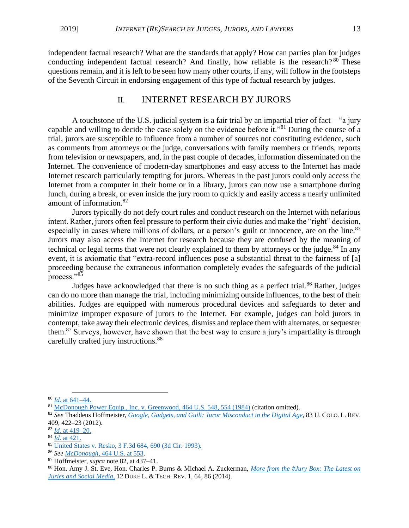independent factual research? What are the standards that apply? How can parties plan for judges conducting independent factual research? And finally, how reliable is the research? <sup>80</sup> These questions remain, and it is left to be seen how many other courts, if any, will follow in the footsteps of the Seventh Circuit in endorsing engagement of this type of factual research by judges.

# II. INTERNET RESEARCH BY JURORS

<span id="page-14-0"></span>A touchstone of the U.S. judicial system is a fair trial by an impartial trier of fact—"a jury capable and willing to decide the case solely on the evidence before it."<sup>81</sup> During the course of a trial, jurors are susceptible to influence from a number of sources not constituting evidence, such as comments from attorneys or the judge, conversations with family members or friends, reports from television or newspapers, and, in the past couple of decades, information disseminated on the Internet. The convenience of modern-day smartphones and easy access to the Internet has made Internet research particularly tempting for jurors. Whereas in the past jurors could only access the Internet from a computer in their home or in a library, jurors can now use a smartphone during lunch, during a break, or even inside the jury room to quickly and easily access a nearly unlimited amount of information.<sup>82</sup>

<span id="page-14-2"></span>Jurors typically do not defy court rules and conduct research on the Internet with nefarious intent. Rather, jurors often feel pressure to perform their civic duties and make the "right" decision, especially in cases where millions of dollars, or a person's guilt or innocence, are on the line.<sup>83</sup> Jurors may also access the Internet for research because they are confused by the meaning of technical or legal terms that were not clearly explained to them by attorneys or the judge.<sup>84</sup> In any event, it is axiomatic that "extra-record influences pose a substantial threat to the fairness of [a] proceeding because the extraneous information completely evades the safeguards of the judicial process."<sup>85</sup>

<span id="page-14-1"></span>Judges have acknowledged that there is no such thing as a perfect trial.<sup>86</sup> Rather, judges can do no more than manage the trial, including minimizing outside influences, to the best of their abilities. Judges are equipped with numerous procedural devices and safeguards to deter and minimize improper exposure of jurors to the Internet. For example, judges can hold jurors in contempt, take away their electronic devices, dismiss and replace them with alternates, or sequester them.<sup>87</sup> Surveys, however, have shown that the best way to ensure a jury's impartiality is through carefully crafted jury instructions.<sup>88</sup>

<sup>80</sup> *Id.* [at 641–44.](https://1.next.westlaw.com/Document/I554231c2471311e5b86bd602cb8781fa/View/FullText.html?transitionType=UniqueDocItem&contextData=(sc.UserEnteredCitation)&userEnteredCitation=798+F.3d+622)

<sup>81</sup> [McDonough Power Equip., Inc. v. Greenwood, 464 U.S. 548, 554 \(1984\)](https://1.next.westlaw.com/Document/I1d2021679c9711d993e6d35cc61aab4a/View/FullText.html) (citation omitted).

<sup>82</sup> *See* Thaddeus Hoffmeister, *[Google, Gadgets, and Guilt: Juror Misconduct in the Digital Age](https://1.next.westlaw.com/Document/I2c75a733843011e18b05fdf15589d8e8/View/FullText.html?navigationPath=Search%2Fv1%2Fresults%2Fnavigation%2Fi0ad6ad3e0000016cb67cabf1bc65819f%3FNav%3DANALYTICAL%26fragmentIdentifier%3DI2c75a733843011e18b05fdf15589d8e8%26parentRank%3D0%26startIndex%3D1%26contextData%3D%2528sc.Search%2529%26transitionType%3DSearchItem&listSource=Search&listPageSource=17d57387f9cd1f7f15a33c4092efa669&list=ANALYTICAL&rank=1&sessionScopeId=d5480c0843ac6f4bdb2af7506ab28c383c82a61caa46acc19a1e5a123b9139b6&originationContext=Smart%20Answer&transitionType=SearchItem&contextData=%28sc.Search%29)*, 83 U. COLO. L. REV. 409, 422–23 (2012).

<sup>83</sup> *Id.* [at 419–20.](https://1.next.westlaw.com/Document/I2c75a733843011e18b05fdf15589d8e8/View/FullText.html?navigationPath=Search%2Fv1%2Fresults%2Fnavigation%2Fi0ad6ad3e0000016cb67cabf1bc65819f%3FNav%3DANALYTICAL%26fragmentIdentifier%3DI2c75a733843011e18b05fdf15589d8e8%26parentRank%3D0%26startIndex%3D1%26contextData%3D%2528sc.Search%2529%26transitionType%3DSearchItem&listSource=Search&listPageSource=17d57387f9cd1f7f15a33c4092efa669&list=ANALYTICAL&rank=1&sessionScopeId=d5480c0843ac6f4bdb2af7506ab28c383c82a61caa46acc19a1e5a123b9139b6&originationContext=Smart%20Answer&transitionType=SearchItem&contextData=%28sc.Search%29)

<sup>84</sup> *Id.* [at 421.](https://1.next.westlaw.com/Document/I2c75a733843011e18b05fdf15589d8e8/View/FullText.html?navigationPath=Search%2Fv1%2Fresults%2Fnavigation%2Fi0ad6ad3e0000016cb67cabf1bc65819f%3FNav%3DANALYTICAL%26fragmentIdentifier%3DI2c75a733843011e18b05fdf15589d8e8%26parentRank%3D0%26startIndex%3D1%26contextData%3D%2528sc.Search%2529%26transitionType%3DSearchItem&listSource=Search&listPageSource=17d57387f9cd1f7f15a33c4092efa669&list=ANALYTICAL&rank=1&sessionScopeId=d5480c0843ac6f4bdb2af7506ab28c383c82a61caa46acc19a1e5a123b9139b6&originationContext=Smart%20Answer&transitionType=SearchItem&contextData=%28sc.Search%29)

<sup>85</sup> [United States v. Resko, 3 F.3d 684, 690 \(3d Cir. 1993\).](https://1.next.westlaw.com/Document/I4ce03f7696fc11d9bdd1cfdd544ca3a4/View/FullText.html?listSource=Search&navigationPath=Search%2fv1%2fresults%2fnavigation%2fi0ad6ad3e0000016cb67f7af7bc6582fe%3fNav%3dCASE%26fragmentIdentifier%3dI4ce03f7696fc11d9bdd1cfdd544ca3a4%26parentRank%3d0%26startIndex%3d1%26contextData%3d%2528sc.Search%2529%26transitionType%3dSearchItem&list=CASE&rank=1&listPageSource=7f2142b0cc635e95d8741debf3ec4bf9&originationContext=docHeader&contextData=(sc.Search)&transitionType=Document&needToInjectTerms=False&enableBestPortion=True&docSource=365bd65dcbf94c7494eb782c58f95ba8)

<sup>86</sup> *See McDonough*[, 464 U.S. at 553.](https://1.next.westlaw.com/Document/I1d2021679c9711d993e6d35cc61aab4a/View/FullText.html)

<sup>87</sup> Hoffmeister, *supra* note [82,](#page-14-2) at 437–41.

<sup>88</sup> Hon. Amy J. St. Eve, Hon. Charles P. Burns & Michael A. Zuckerman, *[More from the #Jury Box: The Latest on](https://1.next.westlaw.com/Document/I80b6cbdbbc9111e398db8b09b4f043e0/View/FullText.html?navigationPath=Search%2Fv1%2Fresults%2Fnavigation%2Fi0ad6ad3e0000016cb684c4c4bc6584f0%3FNav%3DANALYTICAL%26fragmentIdentifier%3DI80b6cbdbbc9111e398db8b09b4f043e0%26parentRank%3D0%26startIndex%3D1%26contextData%3D%2528sc.Search%2529%26transitionType%3DSearchItem&listSource=Search&listPageSource=4daac3b22b41588a12e237fce1231f18&list=ANALYTICAL&rank=1&sessionScopeId=d5480c0843ac6f4bdb2af7506ab28c383c82a61caa46acc19a1e5a123b9139b6&originationContext=Smart%20Answer&transitionType=SearchItem&contextData=%28sc.Search%29)  [Juries and Social Media](https://1.next.westlaw.com/Document/I80b6cbdbbc9111e398db8b09b4f043e0/View/FullText.html?navigationPath=Search%2Fv1%2Fresults%2Fnavigation%2Fi0ad6ad3e0000016cb684c4c4bc6584f0%3FNav%3DANALYTICAL%26fragmentIdentifier%3DI80b6cbdbbc9111e398db8b09b4f043e0%26parentRank%3D0%26startIndex%3D1%26contextData%3D%2528sc.Search%2529%26transitionType%3DSearchItem&listSource=Search&listPageSource=4daac3b22b41588a12e237fce1231f18&list=ANALYTICAL&rank=1&sessionScopeId=d5480c0843ac6f4bdb2af7506ab28c383c82a61caa46acc19a1e5a123b9139b6&originationContext=Smart%20Answer&transitionType=SearchItem&contextData=%28sc.Search%29)*, 12 DUKE L. & TECH. REV. 1, 64, 86 (2014).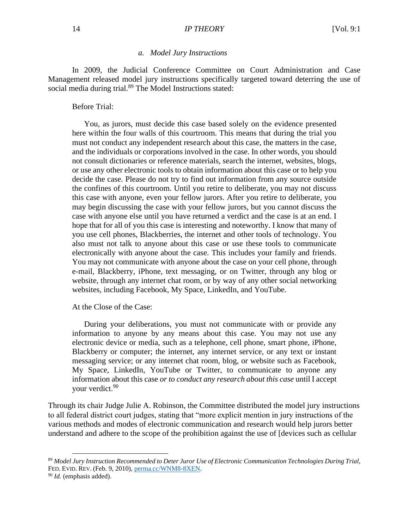### 14 *IP THEORY* [Vol. 9:1

#### *a. Model Jury Instructions*

In 2009, the Judicial Conference Committee on Court Administration and Case Management released model jury instructions specifically targeted toward deterring the use of social media during trial.<sup>89</sup> The Model Instructions stated:

Before Trial:

You, as jurors, must decide this case based solely on the evidence presented here within the four walls of this courtroom. This means that during the trial you must not conduct any independent research about this case, the matters in the case, and the individuals or corporations involved in the case. In other words, you should not consult dictionaries or reference materials, search the internet, websites, blogs, or use any other electronic tools to obtain information about this case or to help you decide the case. Please do not try to find out information from any source outside the confines of this courtroom. Until you retire to deliberate, you may not discuss this case with anyone, even your fellow jurors. After you retire to deliberate, you may begin discussing the case with your fellow jurors, but you cannot discuss the case with anyone else until you have returned a verdict and the case is at an end. I hope that for all of you this case is interesting and noteworthy. I know that many of you use cell phones, Blackberries, the internet and other tools of technology. You also must not talk to anyone about this case or use these tools to communicate electronically with anyone about the case. This includes your family and friends. You may not communicate with anyone about the case on your cell phone, through e-mail, Blackberry, iPhone, text messaging, or on Twitter, through any blog or website, through any internet chat room, or by way of any other social networking websites, including Facebook, My Space, LinkedIn, and YouTube.

At the Close of the Case:

During your deliberations, you must not communicate with or provide any information to anyone by any means about this case. You may not use any electronic device or media, such as a telephone, cell phone, smart phone, iPhone, Blackberry or computer; the internet, any internet service, or any text or instant messaging service; or any internet chat room, blog, or website such as Facebook, My Space, LinkedIn, YouTube or Twitter, to communicate to anyone any information about this case *or to conduct any research about this case* until I accept your verdict.<sup>90</sup>

Through its chair Judge Julie A. Robinson, the Committee distributed the model jury instructions to all federal district court judges, stating that "more explicit mention in jury instructions of the various methods and modes of electronic communication and research would help jurors better understand and adhere to the scope of the prohibition against the use of [devices such as cellular

<sup>89</sup> *Model Jury Instruction Recommended to Deter Juror Use of Electronic Communication Technologies During Trial,* FED. EVID. REV. (Feb. 9, 2010), [perma.cc/WNM8-8XEN.](file:///C:/Users/Sachin/Downloads/perma.cc/WNM8-8XEN)

<sup>90</sup> *Id.* (emphasis added).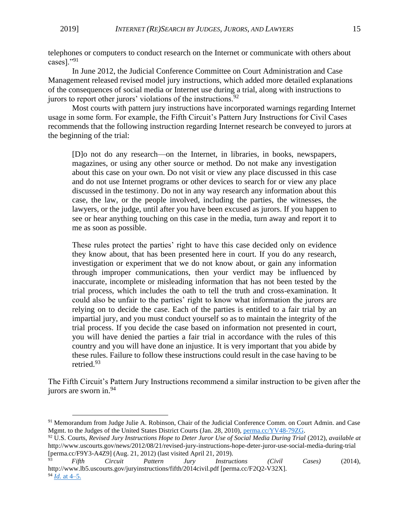telephones or computers to conduct research on the Internet or communicate with others about cases]."<sup>91</sup>

In June 2012, the Judicial Conference Committee on Court Administration and Case Management released revised model jury instructions, which added more detailed explanations of the consequences of social media or Internet use during a trial, along with instructions to jurors to report other jurors' violations of the instructions.<sup>92</sup>

Most courts with pattern jury instructions have incorporated warnings regarding Internet usage in some form. For example, the Fifth Circuit's Pattern Jury Instructions for Civil Cases recommends that the following instruction regarding Internet research be conveyed to jurors at the beginning of the trial:

[D]o not do any research—on the Internet, in libraries, in books, newspapers, magazines, or using any other source or method. Do not make any investigation about this case on your own. Do not visit or view any place discussed in this case and do not use Internet programs or other devices to search for or view any place discussed in the testimony. Do not in any way research any information about this case, the law, or the people involved, including the parties, the witnesses, the lawyers, or the judge, until after you have been excused as jurors. If you happen to see or hear anything touching on this case in the media, turn away and report it to me as soon as possible.

These rules protect the parties' right to have this case decided only on evidence they know about, that has been presented here in court. If you do any research, investigation or experiment that we do not know about, or gain any information through improper communications, then your verdict may be influenced by inaccurate, incomplete or misleading information that has not been tested by the trial process, which includes the oath to tell the truth and cross-examination. It could also be unfair to the parties' right to know what information the jurors are relying on to decide the case. Each of the parties is entitled to a fair trial by an impartial jury, and you must conduct yourself so as to maintain the integrity of the trial process. If you decide the case based on information not presented in court, you will have denied the parties a fair trial in accordance with the rules of this country and you will have done an injustice. It is very important that you abide by these rules. Failure to follow these instructions could result in the case having to be retried. 93

The Fifth Circuit's Pattern Jury Instructions recommend a similar instruction to be given after the jurors are sworn in.<sup>94</sup>

<sup>91</sup> Memorandum from Judge Julie A. Robinson, Chair of the Judicial Conference Comm. on Court Admin. and Case Mgmt. to the Judges of the United States District Courts (Jan. 28, 2010), [perma.cc/YV48-79ZG.](file:///C:/Users/Sachin/Downloads/perma.cc/YV48-79ZG)

<sup>&</sup>lt;sup>92</sup> U.S. Courts, *Revised Jury Instructions Hope to Deter Juror Use of Social Media During Trial (2012), <i>available at* http://www.uscourts.gov/news/2012/08/21/revised-jury-instructions-hope-deter-juror-use-social-media-during-trial [perma.cc/F9Y3-A4Z9] (Aug. 21, 2012) (last visited April 21, 2019).

<sup>93</sup> *Fifth Circuit Pattern Jury Instructions (Civil Cases)* (2014), http://www.lb5.uscourts.gov/juryinstructions/fifth/2014civil.pdf [perma.cc/F2Q2-V32X].  $94$   $\bar{I}$ *d.* [at 4–5.](file:///C:/Users/Sachin/Downloads/perma.cc/F2Q2-V32X)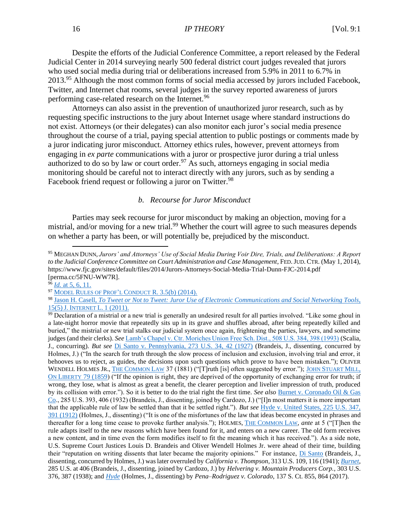Despite the efforts of the Judicial Conference Committee, a report released by the Federal Judicial Center in 2014 surveying nearly 500 federal district court judges revealed that jurors who used social media during trial or deliberations increased from 5.9% in 2011 to 6.7% in 2013.<sup>95</sup> Although the most common forms of social media accessed by jurors included Facebook, Twitter, and Internet chat rooms, several judges in the survey reported awareness of jurors performing case-related research on the Internet.<sup>96</sup>

Attorneys can also assist in the prevention of unauthorized juror research, such as by requesting specific instructions to the jury about Internet usage where standard instructions do not exist. Attorneys (or their delegates) can also monitor each juror's social media presence throughout the course of a trial, paying special attention to public postings or comments made by a juror indicating juror misconduct. Attorney ethics rules, however, prevent attorneys from engaging in *ex parte* communications with a juror or prospective juror during a trial unless authorized to do so by law or court order.<sup>97</sup> As such, attorneys engaging in social media monitoring should be careful not to interact directly with any jurors, such as by sending a Facebook friend request or following a juror on Twitter.<sup>98</sup>

### *b. Recourse for Juror Misconduct*

<span id="page-17-0"></span>Parties may seek recourse for juror misconduct by making an objection, moving for a mistrial, and/or moving for a new trial.<sup>99</sup> Whether the court will agree to such measures depends on whether a party has been, or will potentially be, prejudiced by the misconduct.

<sup>95</sup> MEGHAN DUNN, *Jurors' and Attorneys' Use of Social Media During Voir Dire, Trials, and Deliberations: A Report to the Judicial Conference Committee on Court Administration and Case Management*, FED.JUD. CTR. (May 1, 2014), <https://www.fjc.gov/sites/default/files/2014/Jurors-Attorneys-Social-Media-Trial-Dunn-FJC-2014.pdf> [perma.cc/5FNU-WW7R].

 $\frac{96}{1}$  *Id.* [at 5, 6, 11.](file:///C:/Users/Sachin/Downloads/perma.cc/F2Q2-V32X)

<sup>97</sup> MODEL RULES OF PROF'L CONDUCT R. [3.5\(b\) \(2014\).](https://www.americanbar.org/groups/professional_responsibility/publications/model_rules_of_professional_conduct/rule_3_5_impartiality_decorum_of_the_tribunal/)

<sup>98</sup> Jason H. Casell, *[To Tweet or Not to Tweet: Juror Use of Electronic Communications and Social Networking Tools](https://1.next.westlaw.com/Document/I96c22bb6287411e18b05fdf15589d8e8/View/FullText.html?navigationPath=Search%2Fv1%2Fresults%2Fnavigation%2Fi0ad604ac0000016d1db2f3d21fd26529%3FNav%3DANALYTICAL%26fragmentIdentifier%3DI96c22bb6287411e18b05fdf15589d8e8%26parentRank%3D0%26startIndex%3D1%26contextData%3D%2528sc.Search%2529%26transitionType%3DSearchItem&listSource=Search&listPageSource=c0e4ea43caef9cdfd70e77366011cfb8&list=ANALYTICAL&rank=2&sessionScopeId=735b2ee8650dc220848d05711e73e2f301e37c3d0077ead95818605c5c6d6943&originationContext=Search%20Result&transitionType=SearchItem&contextData=%28sc.Search%29)*, 15(5) J. I[NTERNET](https://1.next.westlaw.com/Document/I96c22bb6287411e18b05fdf15589d8e8/View/FullText.html?navigationPath=Search%2Fv1%2Fresults%2Fnavigation%2Fi0ad604ac0000016d1db2f3d21fd26529%3FNav%3DANALYTICAL%26fragmentIdentifier%3DI96c22bb6287411e18b05fdf15589d8e8%26parentRank%3D0%26startIndex%3D1%26contextData%3D%2528sc.Search%2529%26transitionType%3DSearchItem&listSource=Search&listPageSource=c0e4ea43caef9cdfd70e77366011cfb8&list=ANALYTICAL&rank=2&sessionScopeId=735b2ee8650dc220848d05711e73e2f301e37c3d0077ead95818605c5c6d6943&originationContext=Search%20Result&transitionType=SearchItem&contextData=%28sc.Search%29) L. 1 (2011).

<sup>99</sup> Declaration of a mistrial or a new trial is generally an undesired result for all parties involved. "Like some ghoul in a late-night horror movie that repeatedly sits up in its grave and shuffles abroad, after being repeatedly killed and buried," the mistrial or new trial stalks our judicial system once again, frightening the parties, lawyers, and sometime judges (and their clerks). *See* [Lamb's Chapel v. Ctr. Moriches Union Free Sch. Dist., 508 U.S. 384, 398 \(1993\)](https://1.next.westlaw.com/Document/Iaf79aeac9c7e11d9bdd1cfdd544ca3a4/View/FullText.html?originationContext=typeAhead&transitionType=Default&contextData=(sc.Default)) (Scalia, J., concurring). *But see* [Di Santo v. Pennsylvania, 273 U.S. 34, 42 \(1927\)](https://1.next.westlaw.com/Document/I090972019cc311d991d0cc6b54f12d4d/View/FullText.html?originationContext=typeAhead&transitionType=Default&contextData=(sc.Default)) (Brandeis, J., dissenting, concurred by Holmes, J.) ("In the search for truth through the slow process of inclusion and exclusion, involving trial and error, it behooves us to reject, as guides, the decisions upon such questions which prove to have been mistaken."); OLIVER WENDELL HOLMES JR., THE C[OMMON](http://www.gutenberg.org/files/2449/2449-h/2449-h.htm) LAW 37 (1881) ("[T]ruth [is] often suggested by error."); JOHN S[TUART](https://socialsciences.mcmaster.ca/econ/ugcm/3ll3/mill/liberty.pdf) MILL, ON LIBERTY [79 \(1859\)](https://socialsciences.mcmaster.ca/econ/ugcm/3ll3/mill/liberty.pdf) ("If the opinion is right, they are deprived of the opportunity of exchanging error for truth; if wrong, they lose, what is almost as great a benefit, the clearer perception and livelier impression of truth, produced by its collision with error."). So it is better to do the trial right the first time. *See also* [Burnet v. Coronado Oil & Gas](https://1.next.westlaw.com/Document/Icde8e1079cc211d993e6d35cc61aab4a/View/FullText.html?originationContext=typeAhead&transitionType=Default&contextData=(sc.Default))   $Co., 285$  $Co., 285$  U.S. 393, 406 (1932) (Brandeis, J., dissenting, joined by Cardozo, J.) ("[I]n most matters it is more important that the applicable rule of law be settled than that it be settled right."). *But see* [Hyde v. United States, 225 U.S. 347,](https://1.next.westlaw.com/Document/I987425339cc111d9bc61beebb95be672/View/FullText.html?originationContext=typeAhead&transitionType=Default&contextData=(sc.Default))  [391 \(1912\)](https://1.next.westlaw.com/Document/I987425339cc111d9bc61beebb95be672/View/FullText.html?originationContext=typeAhead&transitionType=Default&contextData=(sc.Default)) (Holmes, J., dissenting) ("It is one of the misfortunes of the law that ideas become encysted in phrases and thereafter for a long time cease to provoke further analysis."); HOLMES, THE C[OMMON](http://www.gutenberg.org/files/2449/2449-h/2449-h.htm) LAW, *ante* at 5 ("[T]hen the rule adapts itself to the new reasons which have been found for it, and enters on a new career. The old form receives a new content, and in time even the form modifies itself to fit the meaning which it has received."). As a side note, U.S. Supreme Court Justices Louis D. Brandeis and Oliver Wendell Holmes Jr. were ahead of their time, building their "reputation on writing dissents that later became the majority opinions." For instance, [Di Santo](https://1.next.westlaw.com/Document/I090972019cc311d991d0cc6b54f12d4d/View/FullText.html?originationContext=typeAhead&transitionType=Default&contextData=(sc.Default)) (Brandeis, J., dissenting, concurred by Holmes, J.) was later overruled by *California v. Thompson*, 313 U.S. 109, 116 (1941); *[Burnet](https://1.next.westlaw.com/Document/Icde8e1079cc211d993e6d35cc61aab4a/View/FullText.html?originationContext=typeAhead&transitionType=Default&contextData=(sc.Default))*, 285 U.S. at 406 (Brandeis, J., dissenting, joined by Cardozo, J.) by *Helvering v. Mountain Producers Corp.*, 303 U.S. 376, 387 (1938); and *[Hyde](https://1.next.westlaw.com/Document/I987425339cc111d9bc61beebb95be672/View/FullText.html?originationContext=typeAhead&transitionType=Default&contextData=(sc.Default))* (Holmes, J., dissenting) by *Pena–Rodriguez v. Colorado*, 137 S. Ct. 855, 864 (2017).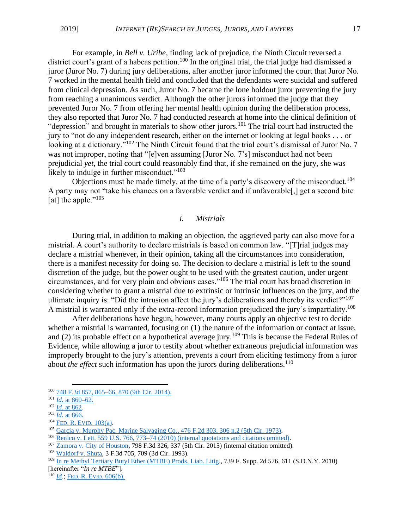For example, in *Bell v. Uribe*, finding lack of prejudice, the Ninth Circuit reversed a district court's grant of a habeas petition.<sup>100</sup> In the original trial, the trial judge had dismissed a juror (Juror No. 7) during jury deliberations, after another juror informed the court that Juror No. 7 worked in the mental health field and concluded that the defendants were suicidal and suffered from clinical depression. As such, Juror No. 7 became the lone holdout juror preventing the jury from reaching a unanimous verdict. Although the other jurors informed the judge that they prevented Juror No. 7 from offering her mental health opinion during the deliberation process, they also reported that Juror No. 7 had conducted research at home into the clinical definition of "depression" and brought in materials to show other jurors.<sup>101</sup> The trial court had instructed the jury to "not do any independent research, either on the internet or looking at legal books . . . or looking at a dictionary."<sup>102</sup> The Ninth Circuit found that the trial court's dismissal of Juror No. 7 was not improper, noting that "[e]ven assuming [Juror No. 7's] misconduct had not been prejudicial *yet*, the trial court could reasonably find that, if she remained on the jury, she was likely to indulge in further misconduct."<sup>103</sup>

Objections must be made timely, at the time of a party's discovery of the misconduct.<sup>104</sup> A party may not "take his chances on a favorable verdict and if unfavorable[,] get a second bite [at] the apple."<sup>105</sup>

### *i. Mistrials*

<span id="page-18-0"></span>During trial, in addition to making an objection, the aggrieved party can also move for a mistrial. A court's authority to declare mistrials is based on common law. "[T]rial judges may declare a mistrial whenever, in their opinion, taking all the circumstances into consideration, there is a manifest necessity for doing so. The decision to declare a mistrial is left to the sound discretion of the judge, but the power ought to be used with the greatest caution, under urgent circumstances, and for very plain and obvious cases."<sup>106</sup> The trial court has broad discretion in considering whether to grant a mistrial due to extrinsic or intrinsic influences on the jury, and the ultimate inquiry is: "Did the intrusion affect the jury's deliberations and thereby its verdict?"<sup>107</sup> A mistrial is warranted only if the extra-record information prejudiced the jury's impartiality.<sup>108</sup>

After deliberations have begun, however, many courts apply an objective test to decide whether a mistrial is warranted, focusing on (1) the nature of the information or contact at issue, and (2) its probable effect on a hypothetical average jury.<sup>109</sup> This is because the Federal Rules of Evidence, while allowing a juror to testify about whether extraneous prejudicial information was improperly brought to the jury's attention, prevents a court from eliciting testimony from a juror about *the effect* such information has upon the jurors during deliberations.<sup>110</sup>

<sup>100</sup> [748 F.3d 857, 865–66, 870 \(9th Cir. 2014\).](https://1.next.westlaw.com/Document/Idc605ccf828911e39ac8bab74931929c/View/FullText.html?originationContext=typeAhead&transitionType=Default&contextData=(sc.Default))

 $101$  *Id.* [at 860–62.](https://1.next.westlaw.com/Document/Idc605ccf828911e39ac8bab74931929c/View/FullText.html?originationContext=typeAhead&transitionType=Default&contextData=(sc.Default))

 $102 \overline{Id}$ . at 862.

 $103$   $\overline{Id}$  [at 866.](https://1.next.westlaw.com/Document/Idc605ccf828911e39ac8bab74931929c/View/FullText.html?originationContext=typeAhead&transitionType=Default&contextData=(sc.Default))

 $104$  FED. R. EVID.  $103(a)$ .

<sup>105</sup> Garcia [v. Murphy Pac. Marine Salvaging Co., 476](https://1.next.westlaw.com/Document/I00f1ab86900311d98e8fb00d6c6a02dd/View/FullText.html?originationContext=typeAhead&transitionType=Default&contextData=(sc.Default)) F.2d 303, 306 n.2 (5th Cir. 1973).

<sup>106</sup> Renico v. Lett, 559 U.S. 766, 773–74 [\(2010\) \(internal quotations and citations omitted\).](https://1.next.westlaw.com/Document/I5fee79e6569e11dfaad3d35f6227d4a8/View/FullText.html?originationContext=typeAhead&transitionType=Default&contextData=(sc.Default))

<sup>107</sup> Zamora v. [City of Houston,](https://1.next.westlaw.com/Document/I35131ffa477111e5a807ad48145ed9f1/View/FullText.html?transitionType=UniqueDocItem&contextData=(sc.Default)&userEnteredCitation=798+F.3d+326) 798 F.3d 326, 337 (5th Cir. 2015) (internal citation omitted).

<sup>108</sup> [Waldorf v. Shuta,](https://1.next.westlaw.com/Document/I4c6a251896fc11d9bdd1cfdd544ca3a4/View/FullText.html?originationContext=typeAhead&transitionType=Default&contextData=(sc.Default)) 3 F.3d 705, 709 (3d Cir. 1993).

<sup>109</sup> [In re Methyl Tertiary Butyl Ether \(MTBE\) Prods. Liab. Litig.](https://1.next.westlaw.com/Document/I5c401a4cc7e411df89dabf2e8566150b/View/FullText.html?transitionType=UniqueDocItem&contextData=(sc.Default)&userEnteredCitation=739+F.+Supp.+2d+576), 739 F. Supp. 2d 576, 611 (S.D.N.Y. 2010) [hereinafter "*In re MTBE*"].

 $^{110}$  *[Id.](https://1.next.westlaw.com/Document/I5c401a4cc7e411df89dabf2e8566150b/View/FullText.html?transitionType=UniqueDocItem&contextData=(sc.Default)&userEnteredCitation=739+F.+Supp.+2d+576)*; FED. R. EVID. [606\(b\).](https://www.law.cornell.edu/rules/fre/rule_606)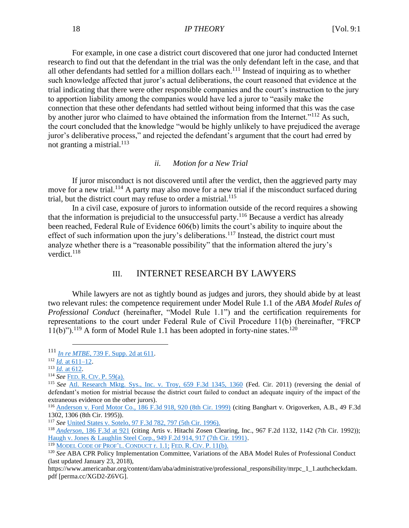### 18 *IP THEORY* [Vol. 9:1

For example, in one case a district court discovered that one juror had conducted Internet research to find out that the defendant in the trial was the only defendant left in the case, and that all other defendants had settled for a million dollars each.<sup>111</sup> Instead of inquiring as to whether such knowledge affected that juror's actual deliberations, the court reasoned that evidence at the trial indicating that there were other responsible companies and the court's instruction to the jury to apportion liability among the companies would have led a juror to "easily make the connection that these other defendants had settled without being informed that this was the case by another juror who claimed to have obtained the information from the Internet."<sup>112</sup> As such, the court concluded that the knowledge "would be highly unlikely to have prejudiced the average juror's deliberative process," and rejected the defendant's argument that the court had erred by not granting a mistrial. $^{113}$ 

### *ii. Motion for a New Trial*

<span id="page-19-0"></span>If juror misconduct is not discovered until after the verdict, then the aggrieved party may move for a new trial.<sup>114</sup> A party may also move for a new trial if the misconduct surfaced during trial, but the district court may refuse to order a mistrial.<sup>115</sup>

In a civil case, exposure of jurors to information outside of the record requires a showing that the information is prejudicial to the unsuccessful party.<sup>116</sup> Because a verdict has already been reached, Federal Rule of Evidence 606(b) limits the court's ability to inquire about the effect of such information upon the jury's deliberations.<sup>117</sup> Instead, the district court must analyze whether there is a "reasonable possibility" that the information altered the jury's verdict.<sup>118</sup>

# III. INTERNET RESEARCH BY LAWYERS

<span id="page-19-1"></span>While lawyers are not as tightly bound as judges and jurors, they should abide by at least two relevant rules: the competence requirement under Model Rule 1.1 of the *ABA Model Rules of Professional Conduct* (hereinafter, "Model Rule 1.1") and the certification requirements for representations to the court under Federal Rule of Civil Procedure 11(b) (hereinafter, "FRCP  $11(b)$ ").<sup>119</sup> A form of Model Rule 1.1 has been adopted in forty-nine states.<sup>120</sup>

<sup>111</sup> *In re MTBE,* [739 F. Supp. 2d at 611.](https://1.next.westlaw.com/Document/I5c401a4cc7e411df89dabf2e8566150b/View/FullText.html?transitionType=UniqueDocItem&contextData=(sc.Default)&userEnteredCitation=739+F.+Supp.+2d+576&firstPage=true&bhcp=1&CobaltRefresh=54417)

<sup>112</sup> *Id.* at [611–12.](https://1.next.westlaw.com/Document/I5c401a4cc7e411df89dabf2e8566150b/View/FullText.html?transitionType=UniqueDocItem&contextData=(sc.Default)&userEnteredCitation=739+F.+Supp.+2d+576)

<sup>113</sup> *Id.* [at 612.](https://1.next.westlaw.com/Document/I5c401a4cc7e411df89dabf2e8566150b/View/FullText.html?transitionType=UniqueDocItem&contextData=(sc.Default)&userEnteredCitation=739+F.+Supp.+2d+576)

<sup>114</sup> *See* FED. R. CIV. P. [59\(a\).](https://www.law.cornell.edu/rules/frcp/rule_59)

<sup>115</sup> *See* [Atl. Research Mktg. Sys., Inc. v. Troy, 659 F.3d 1345, 1360](https://1.next.westlaw.com/Document/Ieaba4435f01511e0a9e5bdc02ef2b18e/View/FullText.html?transitionType=UniqueDocItem&contextData=(sc.UserEnteredCitation)&userEnteredCitation=659+F.3d+1345) (Fed. Cir. 2011) (reversing the denial of defendant's motion for mistrial because the district court failed to conduct an adequate inquiry of the impact of the extraneous evidence on the other jurors).

<sup>116</sup> [Anderson v. Ford Motor Co., 186 F.3d 918, 920 \(8th Cir. 1999\)](https://1.next.westlaw.com/Document/I8706997094ad11d9bdd1cfdd544ca3a4/View/FullText.html?transitionType=UniqueDocItem&contextData=(sc.UserEnteredCitation)&userEnteredCitation=186+F.3d+918) (citing Banghart v. Origoverken, A.B., 49 F.3d 1302, 1306 (8th Cir. 1995)).

<sup>117</sup> *See* [United States v. Sotelo, 97 F.3d 782, 797 \(5th Cir. 1996\).](https://1.next.westlaw.com/Document/I5f33e6f1940311d9a707f4371c9c34f0/View/FullText.html?transitionType=UniqueDocItem&contextData=(sc.Search)&userEnteredCitation=97+F.3d+782)

<sup>118</sup> *Anderson*[, 186 F.3d at 921](https://1.next.westlaw.com/Document/I8706997094ad11d9bdd1cfdd544ca3a4/View/FullText.html?transitionType=UniqueDocItem&contextData=(sc.Default)&userEnteredCitation=186+F.3d+918) (citing Artis v. Hitachi Zosen Clearing, Inc., 967 F.2d 1132, 1142 (7th Cir. 1992)); [Haugh v. Jones & Laughlin Steel Corp., 949 F.2d 914, 917 \(7th Cir. 1991\).](https://1.next.westlaw.com/Document/I1f7cfa6a94c611d9a707f4371c9c34f0/View/FullText.html?transitionType=UniqueDocItem&contextData=(sc.Default)&userEnteredCitation=949+F.2d+914)

<sup>119</sup> MODEL CODE OF PROF'L. C[ONDUCT](https://www.americanbar.org/groups/professional_responsibility/publications/model_rules_of_professional_conduct/rule_1_1_competence/) r. 1.1; FED. R. CIV. P. [11\(b\).](https://1.next.westlaw.com/Document/N71274E70B96011D8983DF34406B5929B/View/FullText.html?originationContext=documenttoc&transitionType=CategoryPageItem&contextData=(sc.Default))

<sup>120</sup> *See* ABA CPR Policy Implementation Committee, Variations of the ABA Model Rules of Professional Conduct (last updated January 23, 2018),

https://www.americanbar.org/content/dam/aba/administrative/professional\_responsibility/mrpc\_1\_1.authcheckdam. pdf [perma.cc/XGD2-Z6VG].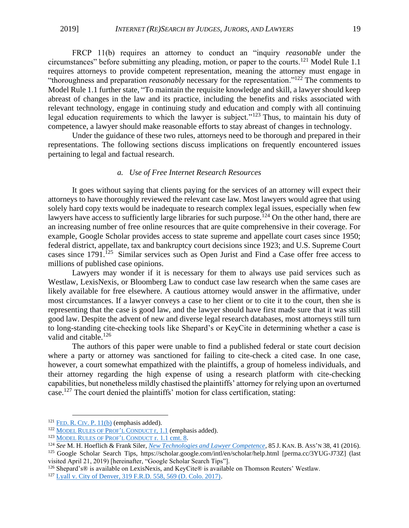FRCP 11(b) requires an attorney to conduct an "inquiry *reasonable* under the circumstances" before submitting any pleading, motion, or paper to the courts.<sup>121</sup> Model Rule 1.1 requires attorneys to provide competent representation, meaning the attorney must engage in "thoroughness and preparation *reasonably* necessary for the representation."<sup>122</sup> The comments to Model Rule 1.1 further state, "To maintain the requisite knowledge and skill, a lawyer should keep abreast of changes in the law and its practice, including the benefits and risks associated with relevant technology, engage in continuing study and education and comply with all continuing legal education requirements to which the lawyer is subject."<sup>123</sup> Thus, to maintain his duty of competence, a lawyer should make reasonable efforts to stay abreast of changes in technology.

Under the guidance of these two rules, attorneys need to be thorough and prepared in their representations. The following sections discuss implications on frequently encountered issues pertaining to legal and factual research.

### *a. Use of Free Internet Research Resources*

<span id="page-20-0"></span>It goes without saying that clients paying for the services of an attorney will expect their attorneys to have thoroughly reviewed the relevant case law. Most lawyers would agree that using solely hard copy texts would be inadequate to research complex legal issues, especially when few lawyers have access to sufficiently large libraries for such purpose.<sup>124</sup> On the other hand, there are an increasing number of free online resources that are quite comprehensive in their coverage. For example, Google Scholar provides access to state supreme and appellate court cases since 1950; federal district, appellate, tax and bankruptcy court decisions since 1923; and U.S. Supreme Court cases since 1791.<sup>125</sup> Similar services such as Open Jurist and Find a Case offer free access to millions of published case opinions.

<span id="page-20-1"></span>Lawyers may wonder if it is necessary for them to always use paid services such as Westlaw, LexisNexis, or Bloomberg Law to conduct case law research when the same cases are likely available for free elsewhere. A cautious attorney would answer in the affirmative, under most circumstances. If a lawyer conveys a case to her client or to cite it to the court, then she is representing that the case is good law, and the lawyer should have first made sure that it was still good law. Despite the advent of new and diverse legal research databases, most attorneys still turn to long-standing cite-checking tools like Shepard's or KeyCite in determining whether a case is valid and citable.<sup>126</sup>

The authors of this paper were unable to find a published federal or state court decision where a party or attorney was sanctioned for failing to cite-check a cited case. In one case, however, a court somewhat empathized with the plaintiffs, a group of homeless individuals, and their attorney regarding the high expense of using a research platform with cite-checking capabilities, but nonetheless mildly chastised the plaintiffs' attorney for relying upon an overturned case.<sup>127</sup> The court denied the plaintiffs' motion for class certification, stating:

 $121$  FED. R. CIV. P.  $11(b)$  (emphasis added).

<sup>&</sup>lt;sup>122</sup> MODEL RULES OF PROF'L C[ONDUCT](https://www.americanbar.org/groups/professional_responsibility/publications/model_rules_of_professional_conduct/rule_1_1_competence/) r, 1.1 (emphasis added).

<sup>123</sup> MODEL RULES OF PROF'L CONDUCT [r. 1.1 cmt. 8.](https://www.americanbar.org/groups/professional_responsibility/publications/model_rules_of_professional_conduct/rule_1_1_competence/)

<sup>124</sup> *See* M. H. Hoeflich & Frank Siler, *[New Technologies and Lawyer Competence](https://1.next.westlaw.com/Document/Ic35b867c612811e698dc8b09b4f043e0/View/FullText.html?navigationPath=Search%2Fv1%2Fresults%2Fnavigation%2Fi0ad73aa60000016d456bd33a133431b2%3FNav%3DMULTIPLECITATIONS%26fragmentIdentifier%3DIc35b867c612811e698dc8b09b4f043e0%26parentRank%3D0%26startIndex%3D1%26contextData%3D%2528sc.Search%2529%26transitionType%3DUniqueDocItem&listSource=Search&listPageSource=55102f06602655624f487c8fcfa9222e&list=MULTIPLECITATIONS&sessionScopeId=239475d8778dec2988d125e45f8cb4e40da1a1bd1c1a1db2cc335a081c26a1c6&originationContext=NonUniqueFindSelected&transitionType=UniqueDocItem&contextData=%28sc.Search%29)*, 85 J. KAN. B. ASS'N 38, 41 (2016).

<sup>&</sup>lt;sup>125</sup> Google Scholar Search Tips, https://scholar.google.com/intl/en/scholar/help.html [perma.cc/3YUG-J73Z] (last visited April 21, 2019) [hereinafter, "Google Scholar Search Tips"].

<sup>&</sup>lt;sup>126</sup> Shepard's® is available on LexisNexis, and KeyCite® is available on Thomson Reuters' Westlaw.

<sup>127</sup> [Lyall v. City of Denver, 319 F.R.D. 558, 569 \(D. Colo. 2017\).](https://1.next.westlaw.com/Document/Ib9aea3903bbc11e7bffecab88ce1f178/View/FullText.html?navigationPath=Search%2Fv1%2Fresults%2Fnavigation%2Fi0ad740360000016d0451b1837705cdd4%3FNav%3DCASE%26fragmentIdentifier%3DIb9aea3903bbc11e7bffecab88ce1f178%26parentRank%3D0%26startIndex%3D1%26contextData%3D%2528sc.Search%2529%26transitionType%3DSearchItem&listSource=Search&listPageSource=8ce8eae85b21aac46d03877b51eece2c&list=CASE&rank=1&sessionScopeId=065c5438c016bacdd6230a932fd248ed8c07fdf67362db076dd647d82f2b9f0e&originationContext=Smart%20Answer&transitionType=SearchItem&contextData=%28sc.Search%29)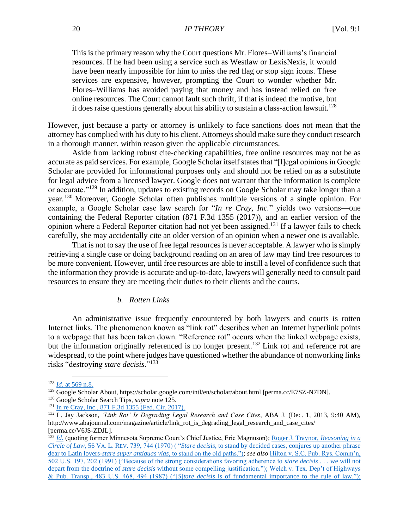This is the primary reason why the Court questions Mr. Flores–Williams's financial resources. If he had been using a service such as Westlaw or LexisNexis, it would have been nearly impossible for him to miss the red flag or stop sign icons. These services are expensive, however, prompting the Court to wonder whether Mr. Flores–Williams has avoided paying that money and has instead relied on free online resources. The Court cannot fault such thrift, if that is indeed the motive, but it does raise questions generally about his ability to sustain a class-action lawsuit.<sup>128</sup>

However, just because a party or attorney is unlikely to face sanctions does not mean that the attorney has complied with his duty to his client. Attorneys should make sure they conduct research in a thorough manner, within reason given the applicable circumstances.

Aside from lacking robust cite-checking capabilities, free online resources may not be as accurate as paid services. For example, Google Scholar itself states that "[l]egal opinions in Google Scholar are provided for informational purposes only and should not be relied on as a substitute for legal advice from a licensed lawyer. Google does not warrant that the information is complete or accurate."<sup>129</sup> In addition, updates to existing records on Google Scholar may take longer than a year.<sup>130</sup> Moreover, Google Scholar often publishes multiple versions of a single opinion. For example, a Google Scholar case law search for "*In re Cray, Inc.*" yields two versions—one containing the Federal Reporter citation (871 F.3d 1355 (2017)), and an earlier version of the opinion where a Federal Reporter citation had not yet been assigned.<sup>131</sup> If a lawyer fails to check carefully, she may accidentally cite an older version of an opinion when a newer one is available.

That is not to say the use of free legal resources is never acceptable. A lawyer who is simply retrieving a single case or doing background reading on an area of law may find free resources to be more convenient. However, until free resources are able to instill a level of confidence such that the information they provide is accurate and up-to-date, lawyers will generally need to consult paid resources to ensure they are meeting their duties to their clients and the courts.

### *b. Rotten Links*

<span id="page-21-0"></span>An administrative issue frequently encountered by both lawyers and courts is rotten Internet links. The phenomenon known as "link rot" describes when an Internet hyperlink points to a webpage that has been taken down. "Reference rot" occurs when the linked webpage exists, but the information originally referenced is no longer present.<sup>132</sup> Link rot and reference rot are widespread, to the point where judges have questioned whether the abundance of nonworking links risks "destroying *stare decisis*."<sup>133</sup>

<sup>128</sup> *Id.* [at 569 n.8.](https://1.next.westlaw.com/Document/Ib9aea3903bbc11e7bffecab88ce1f178/View/FullText.html?navigationPath=Search%2Fv1%2Fresults%2Fnavigation%2Fi0ad740360000016d0451b1837705cdd4%3FNav%3DCASE%26fragmentIdentifier%3DIb9aea3903bbc11e7bffecab88ce1f178%26parentRank%3D0%26startIndex%3D1%26contextData%3D%2528sc.Search%2529%26transitionType%3DSearchItem&listSource=Search&listPageSource=8ce8eae85b21aac46d03877b51eece2c&list=CASE&rank=1&sessionScopeId=065c5438c016bacdd6230a932fd248ed8c07fdf67362db076dd647d82f2b9f0e&originationContext=Smart%20Answer&transitionType=SearchItem&contextData=%28sc.Search%29)

<sup>129</sup> Google Scholar About, https://scholar.google.com/intl/en/scholar/about.html [perma.cc/E7SZ-N7DN].

<sup>130</sup> Google Scholar Search Tips, *supra* not[e 125.](#page-20-1)

<sup>131</sup> [In re Cray, Inc., 871 F.3d 1355 \(Fed. Cir. 2017\).](https://1.next.westlaw.com/Document/I21f108609f1a11e79e029b6011d84ab0/View/FullText.html?navigationPath=Search%2Fv1%2Fresults%2Fnavigation%2Fi0ad740360000016d04771e507705d51d%3FNav%3DCASE%26fragmentIdentifier%3DI21f108609f1a11e79e029b6011d84ab0%26parentRank%3D0%26startIndex%3D1%26contextData%3D%2528sc.Search%2529%26transitionType%3DSearchItem&listSource=Search&listPageSource=524400a49316776cbb81c2a809d4ad50&list=CASE&rank=1&sessionScopeId=065c5438c016bacdd6230a932fd248ed8c07fdf67362db076dd647d82f2b9f0e&originationContext=Smart%20Answer&transitionType=SearchItem&contextData=%28sc.Search%29)

<sup>132</sup> L. Jay Jackson, *'Link Rot' Is Degrading Legal Research and Case Cites*, ABA J. (Dec. 1, 2013, 9:40 AM), http://www.abajournal.com/magazine/article/link rot is degrading legal research and case cites/ [perma.cc/V6JS-ZDJL].

<sup>133</sup> *[Id.](file:///C:/Users/Sachin/Downloads/perma.cc/V6JS-ZDJL)* (quoting former Minnesota Supreme Court's Chief Justice, Eric Magnuson); [Roger J. Traynor,](https://repository.uchastings.edu/traynor_scholarship_pub/34/) *Reasoning in a Circle of Law*, 56 VA. L. REV. 739, 744 (1970) ( "*Stare decisis*[, to stand by decided cases, conjures up another phrase](https://repository.uchastings.edu/traynor_scholarship_pub/34/)  dear to Latin lovers-*stare super antiquas vias*[, to stand on the old paths."\);](https://repository.uchastings.edu/traynor_scholarship_pub/34/) *see also* [Hilton v. S.C. Pub. Rys. Comm'n,](https://1.next.westlaw.com/Document/I862bee7c9c9011d993e6d35cc61aab4a/View/FullText.html?navigationPath=Search%2Fv1%2Fresults%2Fnavigation%2Fi0ad740360000016d05060bd57705f58b%3FNav%3DCASE%26fragmentIdentifier%3DI862bee7c9c9011d993e6d35cc61aab4a%26parentRank%3D0%26startIndex%3D1%26contextData%3D%2528sc.Search%2529%26transitionType%3DSearchItem&listSource=Search&listPageSource=1d890518c4b58fd3eff93b0b9c2e4d12&list=CASE&rank=1&sessionScopeId=065c5438c016bacdd6230a932fd248ed8c07fdf67362db076dd647d82f2b9f0e&originationContext=Search%20Result&transitionType=SearchItem&contextData=%28sc.Search%29)  [502 U.S. 197, 202 \(1991\) \("Because of the strong considerations favoring adherence to](https://1.next.westlaw.com/Document/I862bee7c9c9011d993e6d35cc61aab4a/View/FullText.html?navigationPath=Search%2Fv1%2Fresults%2Fnavigation%2Fi0ad740360000016d05060bd57705f58b%3FNav%3DCASE%26fragmentIdentifier%3DI862bee7c9c9011d993e6d35cc61aab4a%26parentRank%3D0%26startIndex%3D1%26contextData%3D%2528sc.Search%2529%26transitionType%3DSearchItem&listSource=Search&listPageSource=1d890518c4b58fd3eff93b0b9c2e4d12&list=CASE&rank=1&sessionScopeId=065c5438c016bacdd6230a932fd248ed8c07fdf67362db076dd647d82f2b9f0e&originationContext=Search%20Result&transitionType=SearchItem&contextData=%28sc.Search%29) *stare decisis* . . . we will not depart from the doctrine of *stare decisis* [without some compelling justification."\);](https://1.next.westlaw.com/Document/I862bee7c9c9011d993e6d35cc61aab4a/View/FullText.html?navigationPath=Search%2Fv1%2Fresults%2Fnavigation%2Fi0ad740360000016d05060bd57705f58b%3FNav%3DCASE%26fragmentIdentifier%3DI862bee7c9c9011d993e6d35cc61aab4a%26parentRank%3D0%26startIndex%3D1%26contextData%3D%2528sc.Search%2529%26transitionType%3DSearchItem&listSource=Search&listPageSource=1d890518c4b58fd3eff93b0b9c2e4d12&list=CASE&rank=1&sessionScopeId=065c5438c016bacdd6230a932fd248ed8c07fdf67362db076dd647d82f2b9f0e&originationContext=Search%20Result&transitionType=SearchItem&contextData=%28sc.Search%29) [Welch v. Tex. Dep't of Highways](https://1.next.westlaw.com/Document/Ic1e320f19c1e11d991d0cc6b54f12d4d/View/FullText.html?navigationPath=Search%2Fv1%2Fresults%2Fnavigation%2Fi0ad740360000016d05031ab17705f4b3%3FNav%3DCASE%26fragmentIdentifier%3DIc1e320f19c1e11d991d0cc6b54f12d4d%26parentRank%3D0%26startIndex%3D1%26contextData%3D%2528sc.Search%2529%26transitionType%3DSearchItem&listSource=Search&listPageSource=72cf9b993ba6a7cc2dff8e41ac716e9b&list=CASE&rank=1&sessionScopeId=065c5438c016bacdd6230a932fd248ed8c07fdf67362db076dd647d82f2b9f0e&originationContext=Smart%20Answer&transitionType=SearchItem&contextData=%28sc.Search%29)  & Pub. Transp., 483 U.S. 468, 494 (1987) ("[*S*]*tare decisis* [is of fundamental importance to the rule of law."\);](https://1.next.westlaw.com/Document/Ic1e320f19c1e11d991d0cc6b54f12d4d/View/FullText.html?navigationPath=Search%2Fv1%2Fresults%2Fnavigation%2Fi0ad740360000016d05031ab17705f4b3%3FNav%3DCASE%26fragmentIdentifier%3DIc1e320f19c1e11d991d0cc6b54f12d4d%26parentRank%3D0%26startIndex%3D1%26contextData%3D%2528sc.Search%2529%26transitionType%3DSearchItem&listSource=Search&listPageSource=72cf9b993ba6a7cc2dff8e41ac716e9b&list=CASE&rank=1&sessionScopeId=065c5438c016bacdd6230a932fd248ed8c07fdf67362db076dd647d82f2b9f0e&originationContext=Smart%20Answer&transitionType=SearchItem&contextData=%28sc.Search%29)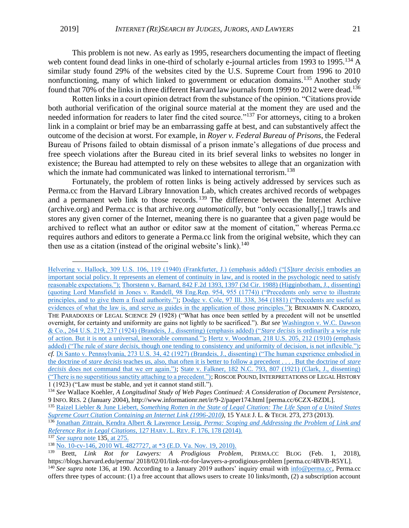This problem is not new. As early as 1995, researchers documenting the impact of fleeting web content found dead links in one-third of scholarly e-journal articles from 1993 to 1995.<sup>134</sup> A similar study found 29% of the websites cited by the U.S. Supreme Court from 1996 to 2010 nonfunctioning, many of which linked to government or education domains.<sup>135</sup> Another study found that 70% of the links in three different Harvard law journals from 1999 to 2012 were dead.<sup>136</sup>

<span id="page-22-0"></span>Rotten links in a court opinion detract from the substance of the opinion. "Citations provide both authorial verification of the original source material at the moment they are used and the needed information for readers to later find the cited source."<sup>137</sup> For attorneys, citing to a broken link in a complaint or brief may be an embarrassing gaffe at best, and can substantively affect the outcome of the decision at worst. For example, in *Royer v. Federal Bureau of Prisons*, the Federal Bureau of Prisons failed to obtain dismissal of a prison inmate's allegations of due process and free speech violations after the Bureau cited in its brief several links to websites no longer in existence; the Bureau had attempted to rely on these websites to allege that an organization with which the inmate had communicated was linked to international terrorism.<sup>138</sup>

Fortunately, the problem of rotten links is being actively addressed by services such as Perma.cc from the Harvard Library Innovation Lab, which creates archived records of webpages and a permanent web link to those records. <sup>139</sup> The difference between the Internet Archive (archive.org) and Perma.cc is that archive.org *automatically*, but "only occasionally[,] trawls and stores any given corner of the Internet, meaning there is no guarantee that a given page would be archived to reflect what an author or editor saw at the moment of citation," whereas Perma.cc requires authors and editors to generate a Perma.cc link from the original website, which they can then use as a citation (instead of the original website's link).<sup>140</sup>

<sup>137</sup> *See supra* [note 135, at 275.](https://1.next.westlaw.com/Document/I3f8ed0f3016711e38578f7ccc38dcbee/View/FullText.html?navigationPath=Search%2Fv1%2Fresults%2Fnavigation%2Fi0ad740360000016d049143957705da19%3FNav%3DANALYTICAL%26fragmentIdentifier%3DI3f8ed0f3016711e38578f7ccc38dcbee%26parentRank%3D0%26startIndex%3D1%26contextData%3D%2528sc.Search%2529%26transitionType%3DSearchItem&listSource=Search&listPageSource=25a4ee3c3805730ed7f9d9fe6f8d5ead&list=ANALYTICAL&rank=1&sessionScopeId=065c5438c016bacdd6230a932fd248ed8c07fdf67362db076dd647d82f2b9f0e&originationContext=Search%20Result&transitionType=SearchItem&contextData=%28sc.Search%29)

[Helvering v. Hallock, 309 U.S. 106, 119 \(1940\) \(Frankfurter, J.\) \(emphasis added\) \("\[](https://1.next.westlaw.com/Document/Ib91c5eaa9cb811d9bc61beebb95be672/View/FullText.html?navigationPath=Search%2Fv1%2Fresults%2Fnavigation%2Fi0ad740360000016d04fc68e67705f2c7%3FNav%3DCASE%26fragmentIdentifier%3DIb91c5eaa9cb811d9bc61beebb95be672%26parentRank%3D0%26startIndex%3D1%26contextData%3D%2528sc.Search%2529%26transitionType%3DSearchItem&listSource=Search&listPageSource=d5b0bd0518a43f95ea909cb157ad9684&list=CASE&rank=1&sessionScopeId=065c5438c016bacdd6230a932fd248ed8c07fdf67362db076dd647d82f2b9f0e&originationContext=Search%20Result&transitionType=SearchItem&contextData=%28sc.Search%29)*S*]*tare decisis* embodies an [important social policy. It represents an element of continuity in law, and is rooted in the psychologic need to satisfy](https://1.next.westlaw.com/Document/Ib91c5eaa9cb811d9bc61beebb95be672/View/FullText.html?navigationPath=Search%2Fv1%2Fresults%2Fnavigation%2Fi0ad740360000016d04fc68e67705f2c7%3FNav%3DCASE%26fragmentIdentifier%3DIb91c5eaa9cb811d9bc61beebb95be672%26parentRank%3D0%26startIndex%3D1%26contextData%3D%2528sc.Search%2529%26transitionType%3DSearchItem&listSource=Search&listPageSource=d5b0bd0518a43f95ea909cb157ad9684&list=CASE&rank=1&sessionScopeId=065c5438c016bacdd6230a932fd248ed8c07fdf67362db076dd647d82f2b9f0e&originationContext=Search%20Result&transitionType=SearchItem&contextData=%28sc.Search%29)  [reasonable expectations."\);](https://1.next.westlaw.com/Document/Ib91c5eaa9cb811d9bc61beebb95be672/View/FullText.html?navigationPath=Search%2Fv1%2Fresults%2Fnavigation%2Fi0ad740360000016d04fc68e67705f2c7%3FNav%3DCASE%26fragmentIdentifier%3DIb91c5eaa9cb811d9bc61beebb95be672%26parentRank%3D0%26startIndex%3D1%26contextData%3D%2528sc.Search%2529%26transitionType%3DSearchItem&listSource=Search&listPageSource=d5b0bd0518a43f95ea909cb157ad9684&list=CASE&rank=1&sessionScopeId=065c5438c016bacdd6230a932fd248ed8c07fdf67362db076dd647d82f2b9f0e&originationContext=Search%20Result&transitionType=SearchItem&contextData=%28sc.Search%29) Thorstenn v. Barnard, 842 F.2d [1393, 1397 \(3d Cir. 1988\) \(Higginbotham, J., dissenting\)](https://1.next.westlaw.com/Document/I6272dca0957411d9a707f4371c9c34f0/View/FullText.html?navigationPath=Search%2Fv1%2Fresults%2Fnavigation%2Fi0ad740360000016d050acc347705f64e%3FNav%3DCASE%26fragmentIdentifier%3DI6272dca0957411d9a707f4371c9c34f0%26parentRank%3D0%26startIndex%3D1%26contextData%3D%2528sc.Search%2529%26transitionType%3DSearchItem&listSource=Search&listPageSource=86c8ff5ba7648046ad9dfb468d06dbf8&list=CASE&rank=2&sessionScopeId=065c5438c016bacdd6230a932fd248ed8c07fdf67362db076dd647d82f2b9f0e&originationContext=Smart%20Answer&transitionType=SearchItem&contextData=%28sc.Search%29)  [\(quoting Lord Mansfield in Jones v. Randell, 98 Eng.Rep. 954, 955 \(1774\)\) \("Precedents only serve to illustrate](https://1.next.westlaw.com/Document/I6272dca0957411d9a707f4371c9c34f0/View/FullText.html?navigationPath=Search%2Fv1%2Fresults%2Fnavigation%2Fi0ad740360000016d050acc347705f64e%3FNav%3DCASE%26fragmentIdentifier%3DI6272dca0957411d9a707f4371c9c34f0%26parentRank%3D0%26startIndex%3D1%26contextData%3D%2528sc.Search%2529%26transitionType%3DSearchItem&listSource=Search&listPageSource=86c8ff5ba7648046ad9dfb468d06dbf8&list=CASE&rank=2&sessionScopeId=065c5438c016bacdd6230a932fd248ed8c07fdf67362db076dd647d82f2b9f0e&originationContext=Smart%20Answer&transitionType=SearchItem&contextData=%28sc.Search%29)  [principles, and to give them a fixed authority."\);](https://1.next.westlaw.com/Document/I6272dca0957411d9a707f4371c9c34f0/View/FullText.html?navigationPath=Search%2Fv1%2Fresults%2Fnavigation%2Fi0ad740360000016d050acc347705f64e%3FNav%3DCASE%26fragmentIdentifier%3DI6272dca0957411d9a707f4371c9c34f0%26parentRank%3D0%26startIndex%3D1%26contextData%3D%2528sc.Search%2529%26transitionType%3DSearchItem&listSource=Search&listPageSource=86c8ff5ba7648046ad9dfb468d06dbf8&list=CASE&rank=2&sessionScopeId=065c5438c016bacdd6230a932fd248ed8c07fdf67362db076dd647d82f2b9f0e&originationContext=Smart%20Answer&transitionType=SearchItem&contextData=%28sc.Search%29) [Dodge v. Cole, 97 Ill. 338, 364 \(1881\) \("Precedents are useful as](https://1.next.westlaw.com/Document/Ia483b912ceec11d9a489ee624f1f6e1a/View/FullText.html?navigationPath=Search%2Fv1%2Fresults%2Fnavigation%2Fi0ad740360000016d050fb3b87705f736%3FNav%3DCASE%26fragmentIdentifier%3DIa483b912ceec11d9a489ee624f1f6e1a%26parentRank%3D0%26startIndex%3D1%26contextData%3D%2528sc.Search%2529%26transitionType%3DSearchItem&listSource=Search&listPageSource=b1e4f47dd7f007bd8c25b6e295fd76a7&list=CASE&rank=1&sessionScopeId=065c5438c016bacdd6230a932fd248ed8c07fdf67362db076dd647d82f2b9f0e&originationContext=Smart%20Answer&transitionType=SearchItem&contextData=%28sc.Search%29)  [evidences of what the law is, and serve as guides in the application of those principles."\)](https://1.next.westlaw.com/Document/Ia483b912ceec11d9a489ee624f1f6e1a/View/FullText.html?navigationPath=Search%2Fv1%2Fresults%2Fnavigation%2Fi0ad740360000016d050fb3b87705f736%3FNav%3DCASE%26fragmentIdentifier%3DIa483b912ceec11d9a489ee624f1f6e1a%26parentRank%3D0%26startIndex%3D1%26contextData%3D%2528sc.Search%2529%26transitionType%3DSearchItem&listSource=Search&listPageSource=b1e4f47dd7f007bd8c25b6e295fd76a7&list=CASE&rank=1&sessionScopeId=065c5438c016bacdd6230a932fd248ed8c07fdf67362db076dd647d82f2b9f0e&originationContext=Smart%20Answer&transitionType=SearchItem&contextData=%28sc.Search%29); BENJAMIN N. CARDOZO, THE PARADOXES OF LEGAL SCIENCE 29 (1928) ("What has once been settled by a precedent will not be unsettled overnight, for certainty and uniformity are gains not lightly to be sacrificed."). *But see* [Washington v. W.C. Dawson](https://1.next.westlaw.com/Document/I0e3cd93a9cb611d9bdd1cfdd544ca3a4/View/FullText.html?navigationPath=Search%2Fv1%2Fresults%2Fnavigation%2Fi0ad740360000016d0514defb7705f881%3FNav%3DCASE%26fragmentIdentifier%3DI0e3cd93a9cb611d9bdd1cfdd544ca3a4%26parentRank%3D0%26startIndex%3D1%26contextData%3D%2528sc.Search%2529%26transitionType%3DSearchItem&listSource=Search&listPageSource=9e9628bf3956ac5f65f96963e09c4689&list=CASE&rank=1&sessionScopeId=065c5438c016bacdd6230a932fd248ed8c07fdf67362db076dd647d82f2b9f0e&originationContext=Smart%20Answer&transitionType=SearchItem&contextData=%28sc.Search%29)  [& Co., 264 U.S. 219, 237 \(1924\) \(Brandeis, J., dissenting\) \(emphasis added\) \("](https://1.next.westlaw.com/Document/I0e3cd93a9cb611d9bdd1cfdd544ca3a4/View/FullText.html?navigationPath=Search%2Fv1%2Fresults%2Fnavigation%2Fi0ad740360000016d0514defb7705f881%3FNav%3DCASE%26fragmentIdentifier%3DI0e3cd93a9cb611d9bdd1cfdd544ca3a4%26parentRank%3D0%26startIndex%3D1%26contextData%3D%2528sc.Search%2529%26transitionType%3DSearchItem&listSource=Search&listPageSource=9e9628bf3956ac5f65f96963e09c4689&list=CASE&rank=1&sessionScopeId=065c5438c016bacdd6230a932fd248ed8c07fdf67362db076dd647d82f2b9f0e&originationContext=Smart%20Answer&transitionType=SearchItem&contextData=%28sc.Search%29)*Stare decisis* is ordinarily a wise rule [of action. But it is not a universal, inexorable command."\);](https://1.next.westlaw.com/Document/I0e3cd93a9cb611d9bdd1cfdd544ca3a4/View/FullText.html?navigationPath=Search%2Fv1%2Fresults%2Fnavigation%2Fi0ad740360000016d0514defb7705f881%3FNav%3DCASE%26fragmentIdentifier%3DI0e3cd93a9cb611d9bdd1cfdd544ca3a4%26parentRank%3D0%26startIndex%3D1%26contextData%3D%2528sc.Search%2529%26transitionType%3DSearchItem&listSource=Search&listPageSource=9e9628bf3956ac5f65f96963e09c4689&list=CASE&rank=1&sessionScopeId=065c5438c016bacdd6230a932fd248ed8c07fdf67362db076dd647d82f2b9f0e&originationContext=Smart%20Answer&transitionType=SearchItem&contextData=%28sc.Search%29) [Hertz v. Woodman, 218 U.S. 205, 212 \(1910\) \(emphasis](https://1.next.westlaw.com/Document/If2666bcc9cc111d9bdd1cfdd544ca3a4/View/FullText.html?navigationPath=Search%2Fv1%2Fresults%2Fnavigation%2Fi0ad740360000016d051754f47705f94b%3FNav%3DCASE%26fragmentIdentifier%3DIf2666bcc9cc111d9bdd1cfdd544ca3a4%26parentRank%3D0%26startIndex%3D1%26contextData%3D%2528sc.Search%2529%26transitionType%3DSearchItem&listSource=Search&listPageSource=fa700573aeaf7c87cdc8927ec8366137&list=CASE&rank=1&sessionScopeId=065c5438c016bacdd6230a932fd248ed8c07fdf67362db076dd647d82f2b9f0e&originationContext=Smart%20Answer&transitionType=SearchItem&contextData=%28sc.Search%29)  added) ("The rule of *stare decisis*[, though one tending to consistency and uniformity of decision, is not inflexible."\);](https://1.next.westlaw.com/Document/If2666bcc9cc111d9bdd1cfdd544ca3a4/View/FullText.html?navigationPath=Search%2Fv1%2Fresults%2Fnavigation%2Fi0ad740360000016d051754f47705f94b%3FNav%3DCASE%26fragmentIdentifier%3DIf2666bcc9cc111d9bdd1cfdd544ca3a4%26parentRank%3D0%26startIndex%3D1%26contextData%3D%2528sc.Search%2529%26transitionType%3DSearchItem&listSource=Search&listPageSource=fa700573aeaf7c87cdc8927ec8366137&list=CASE&rank=1&sessionScopeId=065c5438c016bacdd6230a932fd248ed8c07fdf67362db076dd647d82f2b9f0e&originationContext=Smart%20Answer&transitionType=SearchItem&contextData=%28sc.Search%29) *cf.* [Di Santo v. Pennsylvania, 273 U.S. 34, 42 \(1927\) \(Brandeis, J., dissenting\) \("The human experience embodied in](https://1.next.westlaw.com/Document/I090972019cc311d991d0cc6b54f12d4d/View/FullText.html?navigationPath=Search%2Fv1%2Fresults%2Fnavigation%2Fi0ad740360000016d051c2c4c7705faf9%3FNav%3DCASE%26fragmentIdentifier%3DI090972019cc311d991d0cc6b54f12d4d%26parentRank%3D0%26startIndex%3D1%26contextData%3D%2528sc.Search%2529%26transitionType%3DSearchItem&listSource=Search&listPageSource=91a9e6cafa46382d00b68056ab391118&list=CASE&rank=1&sessionScopeId=065c5438c016bacdd6230a932fd248ed8c07fdf67362db076dd647d82f2b9f0e&originationContext=Smart%20Answer&transitionType=SearchItem&contextData=%28sc.Search%29)  the doctrine of *stare decisis* [teaches us, also, that often it is better to follow a precedent . . . . But the doctrine of](https://1.next.westlaw.com/Document/I090972019cc311d991d0cc6b54f12d4d/View/FullText.html?navigationPath=Search%2Fv1%2Fresults%2Fnavigation%2Fi0ad740360000016d051c2c4c7705faf9%3FNav%3DCASE%26fragmentIdentifier%3DI090972019cc311d991d0cc6b54f12d4d%26parentRank%3D0%26startIndex%3D1%26contextData%3D%2528sc.Search%2529%26transitionType%3DSearchItem&listSource=Search&listPageSource=91a9e6cafa46382d00b68056ab391118&list=CASE&rank=1&sessionScopeId=065c5438c016bacdd6230a932fd248ed8c07fdf67362db076dd647d82f2b9f0e&originationContext=Smart%20Answer&transitionType=SearchItem&contextData=%28sc.Search%29) *stare decisis* [does not command that we err again."\);](https://1.next.westlaw.com/Document/I090972019cc311d991d0cc6b54f12d4d/View/FullText.html?navigationPath=Search%2Fv1%2Fresults%2Fnavigation%2Fi0ad740360000016d051c2c4c7705faf9%3FNav%3DCASE%26fragmentIdentifier%3DI090972019cc311d991d0cc6b54f12d4d%26parentRank%3D0%26startIndex%3D1%26contextData%3D%2528sc.Search%2529%26transitionType%3DSearchItem&listSource=Search&listPageSource=91a9e6cafa46382d00b68056ab391118&list=CASE&rank=1&sessionScopeId=065c5438c016bacdd6230a932fd248ed8c07fdf67362db076dd647d82f2b9f0e&originationContext=Smart%20Answer&transitionType=SearchItem&contextData=%28sc.Search%29) [State v. Falkner, 182 N.C. 793, 807 \(1921\) \(Clark, J., dissenting\)](https://1.next.westlaw.com/Document/I81e24d71044411da8ac8f235252e36df/View/FullText.html?navigationPath=Search%2Fv1%2Fresults%2Fnavigation%2Fi0ad740360000016d051ea8907705fb7b%3FNav%3DCASE%26fragmentIdentifier%3DI81e24d71044411da8ac8f235252e36df%26parentRank%3D0%26startIndex%3D1%26contextData%3D%2528sc.Search%2529%26transitionType%3DSearchItem&listSource=Search&listPageSource=1e4fb3a135d3955647854ff259917fc9&list=CASE&rank=1&sessionScopeId=065c5438c016bacdd6230a932fd248ed8c07fdf67362db076dd647d82f2b9f0e&originationContext=Smart%20Answer&transitionType=SearchItem&contextData=%28sc.Search%29)  [\("There is no superstitious sanctity attaching to a precedent."\);](https://1.next.westlaw.com/Document/I81e24d71044411da8ac8f235252e36df/View/FullText.html?navigationPath=Search%2Fv1%2Fresults%2Fnavigation%2Fi0ad740360000016d051ea8907705fb7b%3FNav%3DCASE%26fragmentIdentifier%3DI81e24d71044411da8ac8f235252e36df%26parentRank%3D0%26startIndex%3D1%26contextData%3D%2528sc.Search%2529%26transitionType%3DSearchItem&listSource=Search&listPageSource=1e4fb3a135d3955647854ff259917fc9&list=CASE&rank=1&sessionScopeId=065c5438c016bacdd6230a932fd248ed8c07fdf67362db076dd647d82f2b9f0e&originationContext=Smart%20Answer&transitionType=SearchItem&contextData=%28sc.Search%29) ROSCOE POUND, INTERPRETATIONS OF LEGAL HISTORY 1 (1923) ("Law must be stable, and yet it cannot stand still.").

<sup>134</sup> *See* Wallace Koehler, *A Longitudinal Study of Web Pages Continued: A Consideration of Document Persistence*, 9 INFO. RES. 2 (January 2004), http://www.informationr.net/ir/9-2/paper174.html [perma.cc/6CZX-BZDL].

<sup>135</sup> Raizel Liebler & June Liebert, *[Something Rotten in the State of Legal Citation: The Life Span of a United States](https://1.next.westlaw.com/Document/I3f8ed0f3016711e38578f7ccc38dcbee/View/FullText.html?navigationPath=Search%2Fv1%2Fresults%2Fnavigation%2Fi0ad740360000016d049143957705da19%3FNav%3DANALYTICAL%26fragmentIdentifier%3DI3f8ed0f3016711e38578f7ccc38dcbee%26parentRank%3D0%26startIndex%3D1%26contextData%3D%2528sc.Search%2529%26transitionType%3DSearchItem&listSource=Search&listPageSource=25a4ee3c3805730ed7f9d9fe6f8d5ead&list=ANALYTICAL&rank=1&sessionScopeId=065c5438c016bacdd6230a932fd248ed8c07fdf67362db076dd647d82f2b9f0e&originationContext=Search%20Result&transitionType=SearchItem&contextData=%28sc.Search%29)  [Supreme Court Citation Containing an Internet Link \(1996-2010\)](https://1.next.westlaw.com/Document/I3f8ed0f3016711e38578f7ccc38dcbee/View/FullText.html?navigationPath=Search%2Fv1%2Fresults%2Fnavigation%2Fi0ad740360000016d049143957705da19%3FNav%3DANALYTICAL%26fragmentIdentifier%3DI3f8ed0f3016711e38578f7ccc38dcbee%26parentRank%3D0%26startIndex%3D1%26contextData%3D%2528sc.Search%2529%26transitionType%3DSearchItem&listSource=Search&listPageSource=25a4ee3c3805730ed7f9d9fe6f8d5ead&list=ANALYTICAL&rank=1&sessionScopeId=065c5438c016bacdd6230a932fd248ed8c07fdf67362db076dd647d82f2b9f0e&originationContext=Search%20Result&transitionType=SearchItem&contextData=%28sc.Search%29)*, 15 YALE J. L. & TECH. 273, 273 (2013).

<sup>136</sup> Jonathan Zittrain, Kendra Albert & Lawrence Lessig, *[Perma: Scoping and Addressing the Problem of Link and](https://1.next.westlaw.com/Document/I5074cc69ab9711e398db8b09b4f043e0/View/FullText.html?navigationPath=Search%2Fv1%2Fresults%2Fnavigation%2Fi0ad740360000016d049c6c317705dc52%3FNav%3DANALYTICAL%26fragmentIdentifier%3DI5074cc69ab9711e398db8b09b4f043e0%26parentRank%3D0%26startIndex%3D1%26contextData%3D%2528sc.Search%2529%26transitionType%3DSearchItem&listSource=Search&listPageSource=6f16d67448f4cab6dc4d1669f4ec7e5e&list=ANALYTICAL&rank=1&sessionScopeId=065c5438c016bacdd6230a932fd248ed8c07fdf67362db076dd647d82f2b9f0e&originationContext=Smart%20Answer&transitionType=SearchItem&contextData=%28sc.Search%29)  [Reference Rot in Legal Citations](https://1.next.westlaw.com/Document/I5074cc69ab9711e398db8b09b4f043e0/View/FullText.html?navigationPath=Search%2Fv1%2Fresults%2Fnavigation%2Fi0ad740360000016d049c6c317705dc52%3FNav%3DANALYTICAL%26fragmentIdentifier%3DI5074cc69ab9711e398db8b09b4f043e0%26parentRank%3D0%26startIndex%3D1%26contextData%3D%2528sc.Search%2529%26transitionType%3DSearchItem&listSource=Search&listPageSource=6f16d67448f4cab6dc4d1669f4ec7e5e&list=ANALYTICAL&rank=1&sessionScopeId=065c5438c016bacdd6230a932fd248ed8c07fdf67362db076dd647d82f2b9f0e&originationContext=Smart%20Answer&transitionType=SearchItem&contextData=%28sc.Search%29)*, 127 HARV. L. REV. F. 176, 178 (2014).

<sup>138</sup> [No. 10-cv-146, 2010 WL 4827727, at \\*3 \(E.D. Va. Nov. 19, 2010\).](https://1.next.westlaw.com/Document/I06b27079fc8d11df852cd4369a8093f1/View/FullText.html?navigationPath=Search%2Fv1%2Fresults%2Fnavigation%2Fi0ad740360000016d04a31ada7705ddc2%3FNav%3DCASE%26fragmentIdentifier%3DI06b27079fc8d11df852cd4369a8093f1%26parentRank%3D0%26startIndex%3D1%26contextData%3D%2528sc.Search%2529%26transitionType%3DSearchItem&listSource=Search&listPageSource=ed020e4409faa30b8313aa18d6414e3c&list=CASE&rank=2&sessionScopeId=065c5438c016bacdd6230a932fd248ed8c07fdf67362db076dd647d82f2b9f0e&originationContext=Smart%20Answer&transitionType=SearchItem&contextData=%28sc.Search%29)

<sup>139</sup> Brett, *Link Rot for Lawyers: A Prodigious Problem*, PERMA.CC BLOG (Feb. 1, 2018), https://blogs.harvard.edu/perma/ 2018/02/01/link-rot-for-lawyers-a-prodigious-problem [perma.cc/4BVB-R5YL]. <sup>140</sup> *See supra* note [136,](#page-22-0) at 190. According to a January 2019 authors' inquiry email with [info@perma.cc,](mailto:info@perma.cc) Perma.cc

offers three types of account: (1) a free account that allows users to create 10 links/month, (2) a subscription account